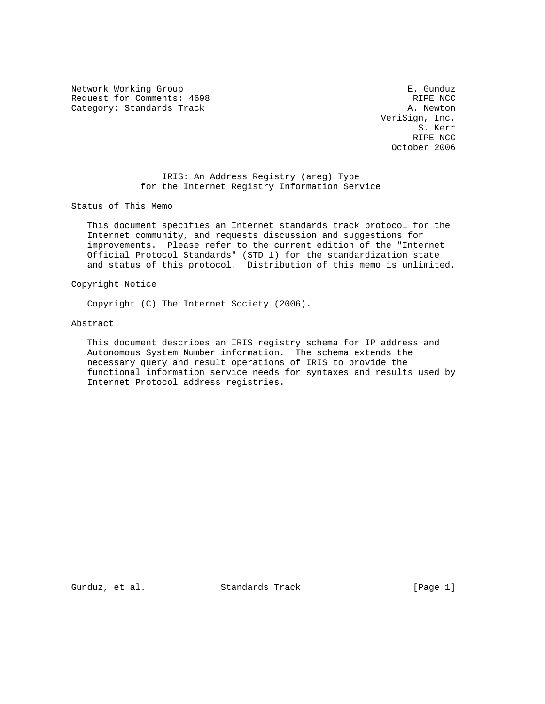Network Working Group **E. Gunduz** Request for Comments: 4698 RIPE NCC Category: Standards Track A. Newton A. Newton

 VeriSign, Inc. S. Kerr RIPE NCC October 2006

# IRIS: An Address Registry (areg) Type for the Internet Registry Information Service

Status of This Memo

 This document specifies an Internet standards track protocol for the Internet community, and requests discussion and suggestions for improvements. Please refer to the current edition of the "Internet Official Protocol Standards" (STD 1) for the standardization state and status of this protocol. Distribution of this memo is unlimited.

Copyright Notice

Copyright (C) The Internet Society (2006).

## Abstract

 This document describes an IRIS registry schema for IP address and Autonomous System Number information. The schema extends the necessary query and result operations of IRIS to provide the functional information service needs for syntaxes and results used by Internet Protocol address registries.

Gunduz, et al. Standards Track [Page 1]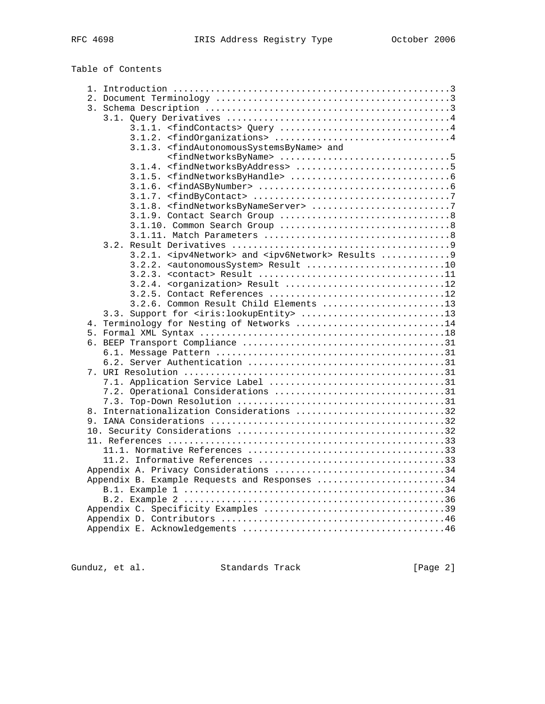Table of Contents

| 3.1.3. <findautonomoussystemsbyname> and</findautonomoussystemsbyname>       |  |
|------------------------------------------------------------------------------|--|
|                                                                              |  |
|                                                                              |  |
|                                                                              |  |
|                                                                              |  |
|                                                                              |  |
|                                                                              |  |
|                                                                              |  |
|                                                                              |  |
|                                                                              |  |
|                                                                              |  |
| 3.2.1. <ipv4network> and <ipv6network> Results 9</ipv6network></ipv4network> |  |
| 3.2.2. <autonomoussystem> Result 10</autonomoussystem>                       |  |
|                                                                              |  |
| 3.2.4. <organization> Result 12</organization>                               |  |
| 3.2.5. Contact References 12                                                 |  |
| 3.2.6. Common Result Child Elements 13                                       |  |
| 3.3. Support for <iris: lookupentity=""> 13</iris:>                          |  |
| 4. Terminology for Nesting of Networks 14                                    |  |
|                                                                              |  |
|                                                                              |  |
|                                                                              |  |
|                                                                              |  |
|                                                                              |  |
|                                                                              |  |
|                                                                              |  |
|                                                                              |  |
| 8. Internationalization Considerations 32                                    |  |
|                                                                              |  |
|                                                                              |  |
|                                                                              |  |
|                                                                              |  |
|                                                                              |  |
| Appendix A. Privacy Considerations 34                                        |  |
| Appendix B. Example Requests and Responses 34                                |  |
|                                                                              |  |
|                                                                              |  |
|                                                                              |  |
|                                                                              |  |
|                                                                              |  |
|                                                                              |  |

Gunduz, et al. Standards Track [Page 2]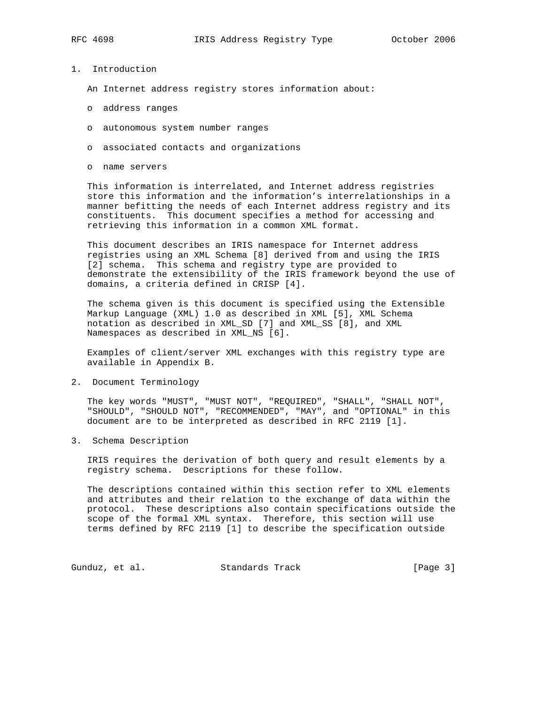- 
- 1. Introduction

An Internet address registry stores information about:

- o address ranges
- o autonomous system number ranges
- o associated contacts and organizations
- o name servers

 This information is interrelated, and Internet address registries store this information and the information's interrelationships in a manner befitting the needs of each Internet address registry and its constituents. This document specifies a method for accessing and retrieving this information in a common XML format.

 This document describes an IRIS namespace for Internet address registries using an XML Schema [8] derived from and using the IRIS [2] schema. This schema and registry type are provided to demonstrate the extensibility of the IRIS framework beyond the use of domains, a criteria defined in CRISP [4].

 The schema given is this document is specified using the Extensible Markup Language (XML) 1.0 as described in XML [5], XML Schema notation as described in XML\_SD [7] and XML\_SS [8], and XML Namespaces as described in XML\_NS [6].

 Examples of client/server XML exchanges with this registry type are available in Appendix B.

2. Document Terminology

 The key words "MUST", "MUST NOT", "REQUIRED", "SHALL", "SHALL NOT", "SHOULD", "SHOULD NOT", "RECOMMENDED", "MAY", and "OPTIONAL" in this document are to be interpreted as described in RFC 2119 [1].

3. Schema Description

 IRIS requires the derivation of both query and result elements by a registry schema. Descriptions for these follow.

 The descriptions contained within this section refer to XML elements and attributes and their relation to the exchange of data within the protocol. These descriptions also contain specifications outside the scope of the formal XML syntax. Therefore, this section will use terms defined by RFC 2119 [1] to describe the specification outside

Gunduz, et al. Standards Track [Page 3]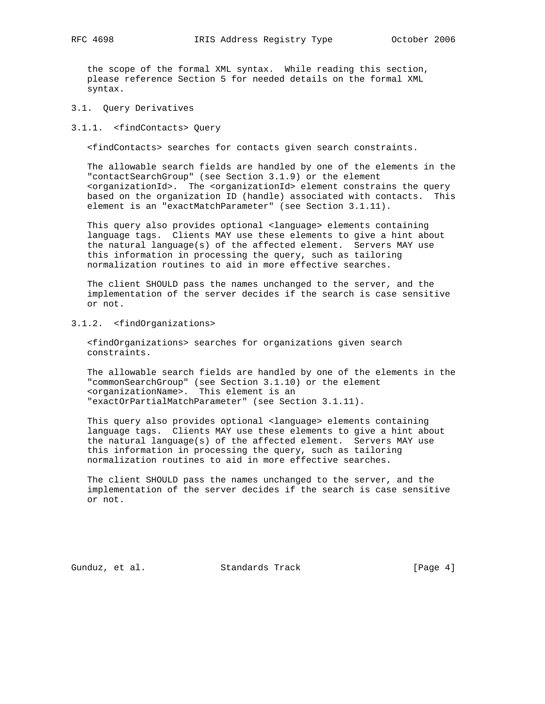the scope of the formal XML syntax. While reading this section, please reference Section 5 for needed details on the formal XML syntax.

## 3.1. Query Derivatives

### 3.1.1. <findContacts> Query

<findContacts> searches for contacts given search constraints.

 The allowable search fields are handled by one of the elements in the "contactSearchGroup" (see Section 3.1.9) or the element <organizationId>. The <organizationId> element constrains the query based on the organization ID (handle) associated with contacts. This element is an "exactMatchParameter" (see Section 3.1.11).

 This query also provides optional <language> elements containing language tags. Clients MAY use these elements to give a hint about the natural language(s) of the affected element. Servers MAY use this information in processing the query, such as tailoring normalization routines to aid in more effective searches.

 The client SHOULD pass the names unchanged to the server, and the implementation of the server decides if the search is case sensitive or not.

# 3.1.2. <findOrganizations>

 <findOrganizations> searches for organizations given search constraints.

 The allowable search fields are handled by one of the elements in the "commonSearchGroup" (see Section 3.1.10) or the element <organizationName>. This element is an "exactOrPartialMatchParameter" (see Section 3.1.11).

 This query also provides optional <language> elements containing language tags. Clients MAY use these elements to give a hint about the natural language(s) of the affected element. Servers MAY use this information in processing the query, such as tailoring normalization routines to aid in more effective searches.

 The client SHOULD pass the names unchanged to the server, and the implementation of the server decides if the search is case sensitive or not.

Gunduz, et al. Standards Track (Page 4)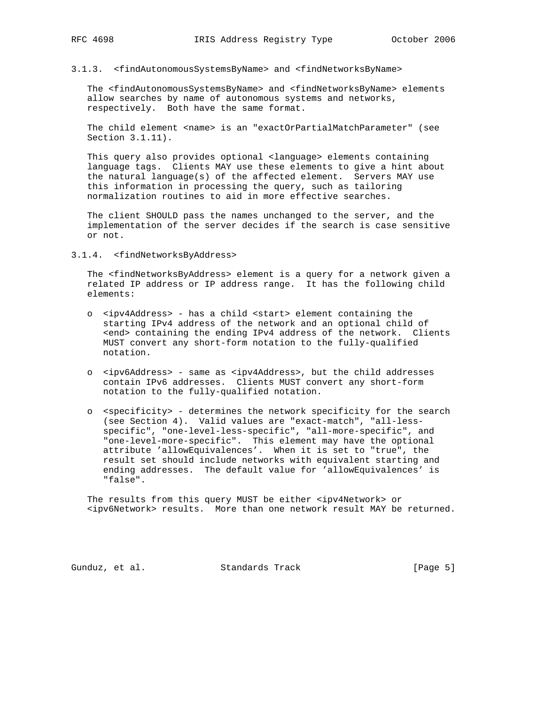## 3.1.3. <findAutonomousSystemsByName> and <findNetworksByName>

 The <findAutonomousSystemsByName> and <findNetworksByName> elements allow searches by name of autonomous systems and networks, respectively. Both have the same format.

 The child element <name> is an "exactOrPartialMatchParameter" (see Section 3.1.11).

 This query also provides optional <language> elements containing language tags. Clients MAY use these elements to give a hint about the natural language(s) of the affected element. Servers MAY use this information in processing the query, such as tailoring normalization routines to aid in more effective searches.

 The client SHOULD pass the names unchanged to the server, and the implementation of the server decides if the search is case sensitive or not.

## 3.1.4. <findNetworksByAddress>

 The <findNetworksByAddress> element is a query for a network given a related IP address or IP address range. It has the following child elements:

- o <ipv4Address> has a child <start> element containing the starting IPv4 address of the network and an optional child of <end> containing the ending IPv4 address of the network. Clients MUST convert any short-form notation to the fully-qualified notation.
- o <ipv6Address> same as <ipv4Address>, but the child addresses contain IPv6 addresses. Clients MUST convert any short-form notation to the fully-qualified notation.
- o <specificity> determines the network specificity for the search (see Section 4). Valid values are "exact-match", "all-less specific", "one-level-less-specific", "all-more-specific", and "one-level-more-specific". This element may have the optional attribute 'allowEquivalences'. When it is set to "true", the result set should include networks with equivalent starting and ending addresses. The default value for 'allowEquivalences' is "false".

 The results from this query MUST be either <ipv4Network> or <ipv6Network> results. More than one network result MAY be returned.

Gunduz, et al. Standards Track [Page 5]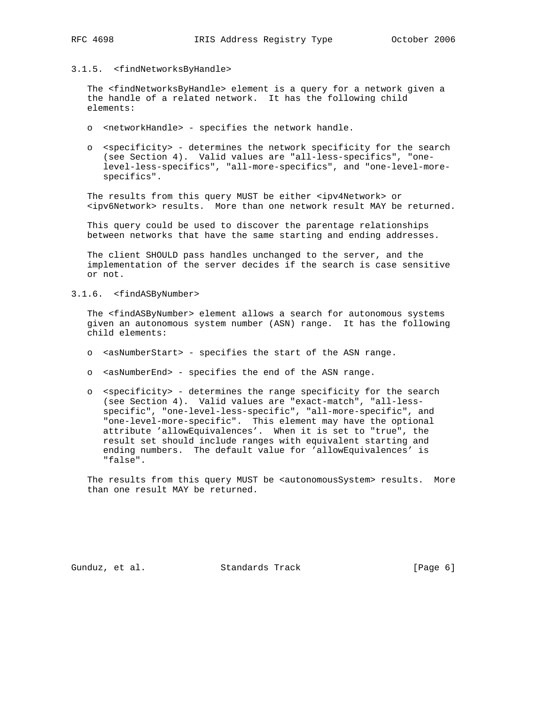## 3.1.5. <findNetworksByHandle>

 The <findNetworksByHandle> element is a query for a network given a the handle of a related network. It has the following child elements:

- o <networkHandle> specifies the network handle.
- o <specificity> determines the network specificity for the search (see Section 4). Valid values are "all-less-specifics", "one level-less-specifics", "all-more-specifics", and "one-level-more specifics".

 The results from this query MUST be either <ipv4Network> or <ipv6Network> results. More than one network result MAY be returned.

 This query could be used to discover the parentage relationships between networks that have the same starting and ending addresses.

 The client SHOULD pass handles unchanged to the server, and the implementation of the server decides if the search is case sensitive or not.

## 3.1.6. <findASByNumber>

 The <findASByNumber> element allows a search for autonomous systems given an autonomous system number (ASN) range. It has the following child elements:

- o <asNumberStart> specifies the start of the ASN range.
- o <asNumberEnd> specifies the end of the ASN range.
- o <specificity> determines the range specificity for the search (see Section 4). Valid values are "exact-match", "all-less specific", "one-level-less-specific", "all-more-specific", and "one-level-more-specific". This element may have the optional attribute 'allowEquivalences'. When it is set to "true", the result set should include ranges with equivalent starting and ending numbers. The default value for 'allowEquivalences' is "false".

The results from this query MUST be <autonomousSystem> results. More than one result MAY be returned.

Gunduz, et al. Standards Track (Page 6)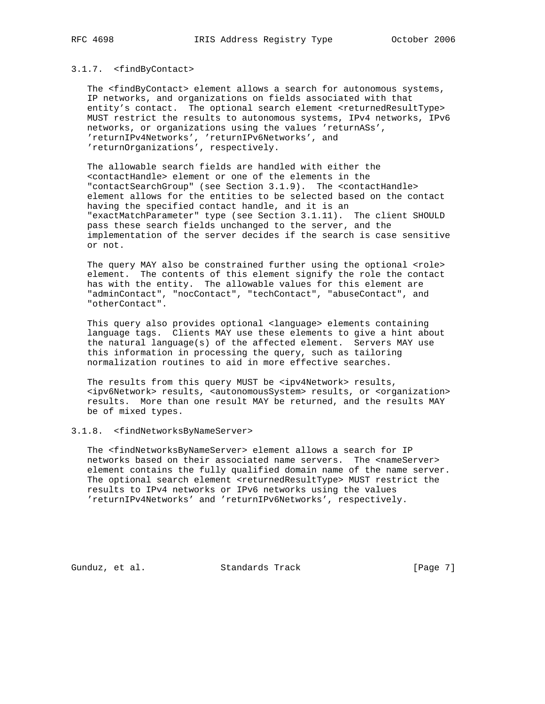# 3.1.7. <findByContact>

 The <findByContact> element allows a search for autonomous systems, IP networks, and organizations on fields associated with that entity's contact. The optional search element <returnedResultType> MUST restrict the results to autonomous systems, IPv4 networks, IPv6 networks, or organizations using the values 'returnASs', 'returnIPv4Networks', 'returnIPv6Networks', and 'returnOrganizations', respectively.

 The allowable search fields are handled with either the <contactHandle> element or one of the elements in the "contactSearchGroup" (see Section 3.1.9). The <contactHandle> element allows for the entities to be selected based on the contact having the specified contact handle, and it is an "exactMatchParameter" type (see Section 3.1.11). The client SHOULD pass these search fields unchanged to the server, and the implementation of the server decides if the search is case sensitive or not.

The query MAY also be constrained further using the optional <role> element. The contents of this element signify the role the contact has with the entity. The allowable values for this element are "adminContact", "nocContact", "techContact", "abuseContact", and "otherContact".

 This query also provides optional <language> elements containing language tags. Clients MAY use these elements to give a hint about the natural language(s) of the affected element. Servers MAY use this information in processing the query, such as tailoring normalization routines to aid in more effective searches.

The results from this query MUST be <ipv4Network> results, <ipv6Network> results, <autonomousSystem> results, or <organization> results. More than one result MAY be returned, and the results MAY be of mixed types.

### 3.1.8. <findNetworksByNameServer>

 The <findNetworksByNameServer> element allows a search for IP networks based on their associated name servers. The <nameServer> element contains the fully qualified domain name of the name server. The optional search element <returnedResultType> MUST restrict the results to IPv4 networks or IPv6 networks using the values 'returnIPv4Networks' and 'returnIPv6Networks', respectively.

Gunduz, et al. Standards Track [Page 7]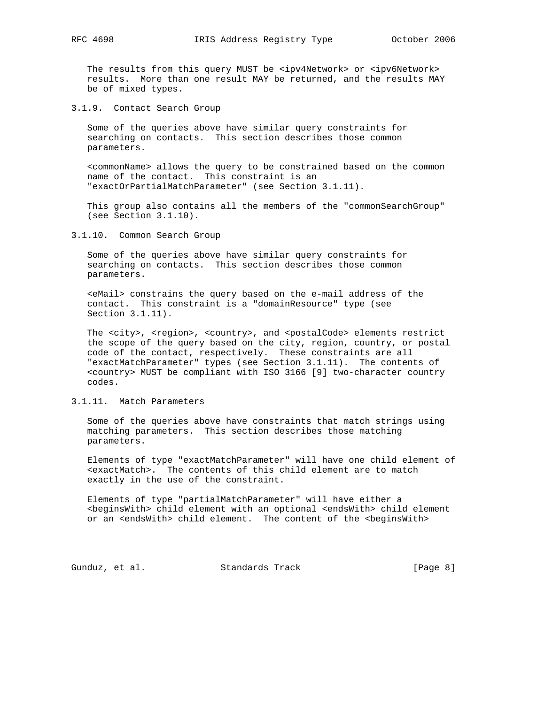The results from this query MUST be <ipv4Network> or <ipv6Network> results. More than one result MAY be returned, and the results MAY be of mixed types.

3.1.9. Contact Search Group

 Some of the queries above have similar query constraints for searching on contacts. This section describes those common parameters.

 <commonName> allows the query to be constrained based on the common name of the contact. This constraint is an "exactOrPartialMatchParameter" (see Section 3.1.11).

This group also contains all the members of the "commonSearchGroup" (see Section 3.1.10).

3.1.10. Common Search Group

 Some of the queries above have similar query constraints for searching on contacts. This section describes those common parameters.

 <eMail> constrains the query based on the e-mail address of the contact. This constraint is a "domainResource" type (see Section 3.1.11).

The <city>, <region>, <country>, and <postalCode> elements restrict the scope of the query based on the city, region, country, or postal code of the contact, respectively. These constraints are all "exactMatchParameter" types (see Section 3.1.11). The contents of <country> MUST be compliant with ISO 3166 [9] two-character country codes.

## 3.1.11. Match Parameters

 Some of the queries above have constraints that match strings using matching parameters. This section describes those matching parameters.

 Elements of type "exactMatchParameter" will have one child element of <exactMatch>. The contents of this child element are to match exactly in the use of the constraint.

 Elements of type "partialMatchParameter" will have either a <beginsWith> child element with an optional <endsWith> child element or an <endsWith> child element. The content of the <br/> <br/>kopensWith>

Gunduz, et al. Standards Track (Page 8)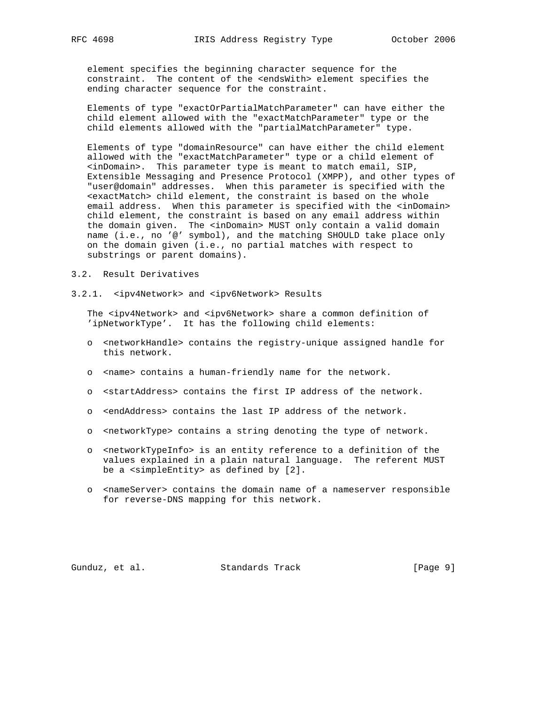element specifies the beginning character sequence for the constraint. The content of the <endsWith> element specifies the ending character sequence for the constraint.

 Elements of type "exactOrPartialMatchParameter" can have either the child element allowed with the "exactMatchParameter" type or the child elements allowed with the "partialMatchParameter" type.

 Elements of type "domainResource" can have either the child element allowed with the "exactMatchParameter" type or a child element of <inDomain>. This parameter type is meant to match email, SIP, Extensible Messaging and Presence Protocol (XMPP), and other types of "user@domain" addresses. When this parameter is specified with the <exactMatch> child element, the constraint is based on the whole email address. When this parameter is specified with the <inDomain> child element, the constraint is based on any email address within the domain given. The <inDomain> MUST only contain a valid domain name (i.e., no '@' symbol), and the matching SHOULD take place only on the domain given (i.e., no partial matches with respect to substrings or parent domains).

- 3.2. Result Derivatives
- 3.2.1. <ipv4Network> and <ipv6Network> Results

 The <ipv4Network> and <ipv6Network> share a common definition of 'ipNetworkType'. It has the following child elements:

- o <networkHandle> contains the registry-unique assigned handle for this network.
- o <name> contains a human-friendly name for the network.
- o <startAddress> contains the first IP address of the network.
- o <endAddress> contains the last IP address of the network.
- o <networkType> contains a string denoting the type of network.
- o <networkTypeInfo> is an entity reference to a definition of the values explained in a plain natural language. The referent MUST be a <simpleEntity> as defined by [2].
- o <nameServer> contains the domain name of a nameserver responsible for reverse-DNS mapping for this network.

Gunduz, et al. Standards Track (Page 9)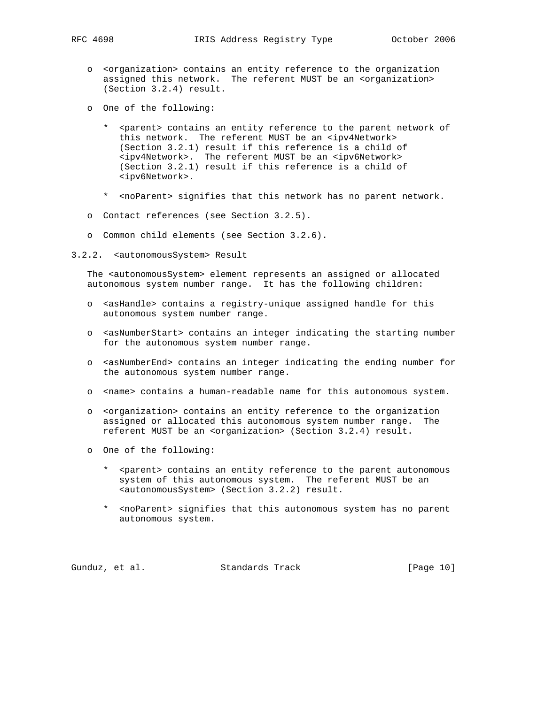- o <organization> contains an entity reference to the organization assigned this network. The referent MUST be an <organization> (Section 3.2.4) result.
- o One of the following:
	- \* <parent> contains an entity reference to the parent network of this network. The referent MUST be an <ipv4Network> (Section 3.2.1) result if this reference is a child of <ipv4Network>. The referent MUST be an <ipv6Network> (Section 3.2.1) result if this reference is a child of <ipv6Network>.
	- \* <noParent> signifies that this network has no parent network.
- o Contact references (see Section 3.2.5).
- o Common child elements (see Section 3.2.6).
- 3.2.2. <autonomousSystem> Result

 The <autonomousSystem> element represents an assigned or allocated autonomous system number range. It has the following children:

- o <asHandle> contains a registry-unique assigned handle for this autonomous system number range.
- o <asNumberStart> contains an integer indicating the starting number for the autonomous system number range.
- o <asNumberEnd> contains an integer indicating the ending number for the autonomous system number range.
- o <name> contains a human-readable name for this autonomous system.
- o <organization> contains an entity reference to the organization assigned or allocated this autonomous system number range. The referent MUST be an <organization> (Section 3.2.4) result.
- o One of the following:
	- \* <parent> contains an entity reference to the parent autonomous system of this autonomous system. The referent MUST be an <autonomousSystem> (Section 3.2.2) result.
	- \* <noParent> signifies that this autonomous system has no parent autonomous system.

Gunduz, et al. Standards Track [Page 10]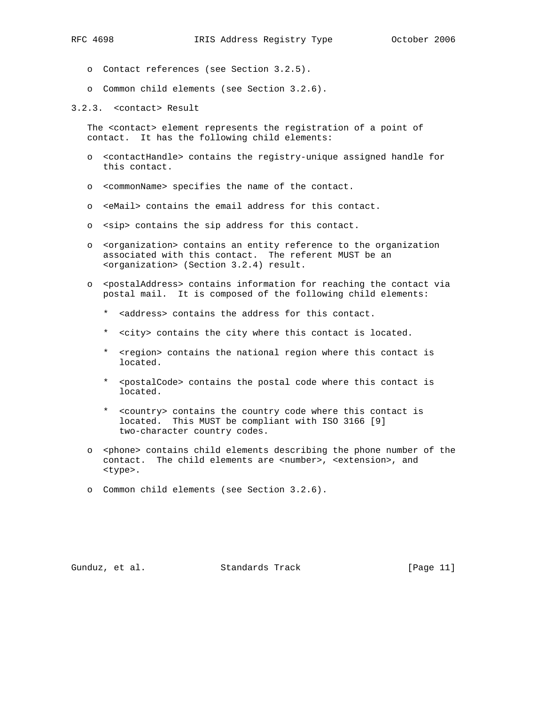- - o Contact references (see Section 3.2.5).
	- o Common child elements (see Section 3.2.6).
- 3.2.3. <contact> Result

 The <contact> element represents the registration of a point of contact. It has the following child elements:

- o <contactHandle> contains the registry-unique assigned handle for this contact.
- o <commonName> specifies the name of the contact.
- o <eMail> contains the email address for this contact.
- o <sip> contains the sip address for this contact.
- o <organization> contains an entity reference to the organization associated with this contact. The referent MUST be an <organization> (Section 3.2.4) result.
- o <postalAddress> contains information for reaching the contact via postal mail. It is composed of the following child elements:
	- \* <address> contains the address for this contact.
	- \* <city> contains the city where this contact is located.
	- \* <region> contains the national region where this contact is located.
	- \* <postalCode> contains the postal code where this contact is located.
	- \* <country> contains the country code where this contact is located. This MUST be compliant with ISO 3166 [9] two-character country codes.
- o <phone> contains child elements describing the phone number of the contact. The child elements are <number>, <extension>, and <type>.
- o Common child elements (see Section 3.2.6).

Gunduz, et al. Standards Track [Page 11]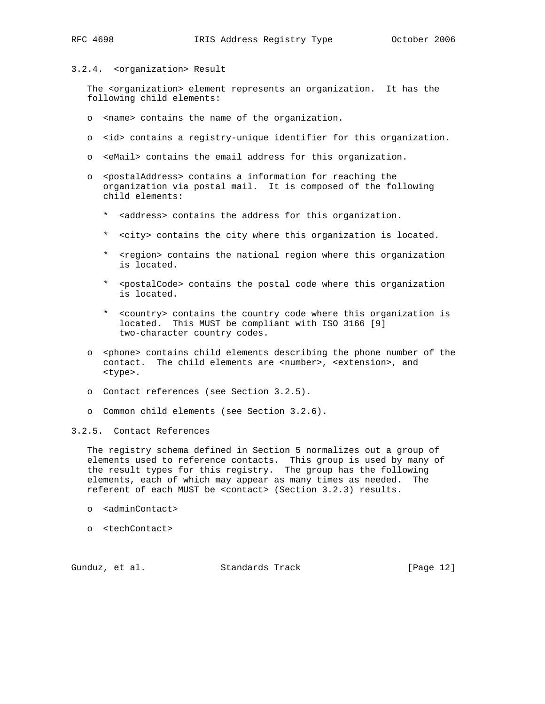## 3.2.4. <organization> Result

 The <organization> element represents an organization. It has the following child elements:

- o <name> contains the name of the organization.
- o <id> contains a registry-unique identifier for this organization.
- o <eMail> contains the email address for this organization.
- o <postalAddress> contains a information for reaching the organization via postal mail. It is composed of the following child elements:
	- \* <address> contains the address for this organization.
	- \* <city> contains the city where this organization is located.
	- \* <region> contains the national region where this organization is located.
	- \* <postalCode> contains the postal code where this organization is located.
	- \* <country> contains the country code where this organization is located. This MUST be compliant with ISO 3166 [9] two-character country codes.
- o <phone> contains child elements describing the phone number of the contact. The child elements are <number>, <extension>, and <type>.
- o Contact references (see Section 3.2.5).
- o Common child elements (see Section 3.2.6).

## 3.2.5. Contact References

 The registry schema defined in Section 5 normalizes out a group of elements used to reference contacts. This group is used by many of the result types for this registry. The group has the following elements, each of which may appear as many times as needed. The referent of each MUST be <contact> (Section 3.2.3) results.

- o <adminContact>
- o <techContact>

Gunduz, et al. Standards Track [Page 12]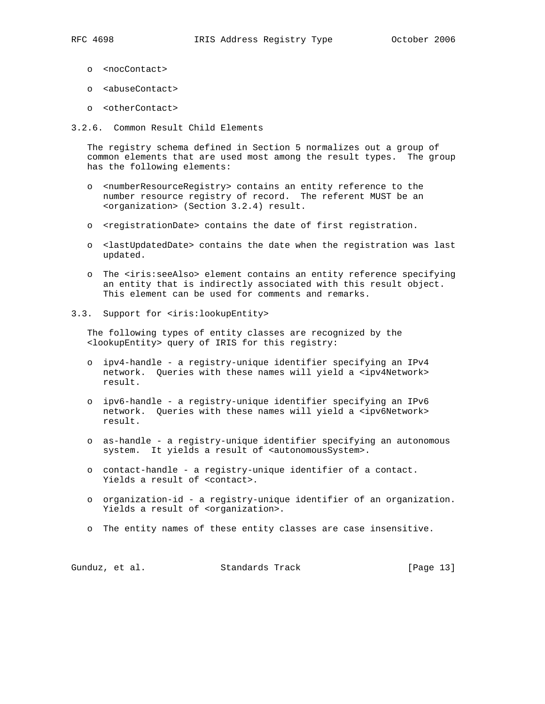- - o <nocContact>
	- o <abuseContact>
	- o <otherContact>
- 3.2.6. Common Result Child Elements

 The registry schema defined in Section 5 normalizes out a group of common elements that are used most among the result types. The group has the following elements:

- o <numberResourceRegistry> contains an entity reference to the number resource registry of record. The referent MUST be an <organization> (Section 3.2.4) result.
- o <registrationDate> contains the date of first registration.
- o <lastUpdatedDate> contains the date when the registration was last updated.
- o The <iris:seeAlso> element contains an entity reference specifying an entity that is indirectly associated with this result object. This element can be used for comments and remarks.
- 3.3. Support for <iris:lookupEntity>

 The following types of entity classes are recognized by the <lookupEntity> query of IRIS for this registry:

- o ipv4-handle a registry-unique identifier specifying an IPv4 network. Queries with these names will yield a <ipv4Network> result.
- o ipv6-handle a registry-unique identifier specifying an IPv6 network. Queries with these names will yield a <ipv6Network> result.
- o as-handle a registry-unique identifier specifying an autonomous system. It yields a result of <autonomousSystem>.
- o contact-handle a registry-unique identifier of a contact. Yields a result of <contact>.
- o organization-id a registry-unique identifier of an organization. Yields a result of <organization>.
- o The entity names of these entity classes are case insensitive.

| Gunduz, et al. |  | Standards Track | [Page 13] |  |
|----------------|--|-----------------|-----------|--|
|----------------|--|-----------------|-----------|--|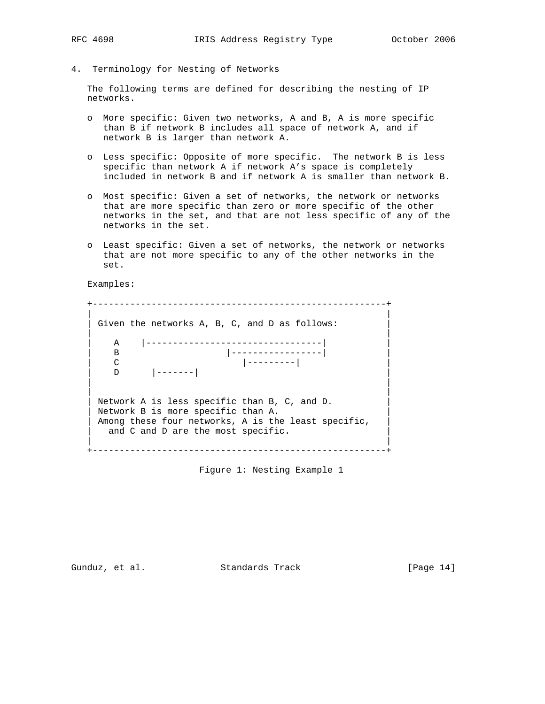- 
- 4. Terminology for Nesting of Networks

 The following terms are defined for describing the nesting of IP networks.

- o More specific: Given two networks, A and B, A is more specific than B if network B includes all space of network A, and if network B is larger than network A.
- o Less specific: Opposite of more specific. The network B is less specific than network A if network A's space is completely included in network B and if network A is smaller than network B.
- o Most specific: Given a set of networks, the network or networks that are more specific than zero or more specific of the other networks in the set, and that are not less specific of any of the networks in the set.
- o Least specific: Given a set of networks, the network or networks that are not more specific to any of the other networks in the set.

Examples:

```
 +-------------------------------------------------------+
 | |
 Given the networks A, B, C, and D as follows:
 | |
    | A |---------------------------------| |
| B |---------------| |
| C |--------| | |
 | D |-------| |
 | |
 | |
  Network A is less specific than B, C, and D.
  Network B is more specific than A.
  Among these four networks, A is the least specific,
   and C and D are the most specific.
 | |
  +-------------------------------------------------------+
```
Figure 1: Nesting Example 1

Gunduz, et al. Standards Track [Page 14]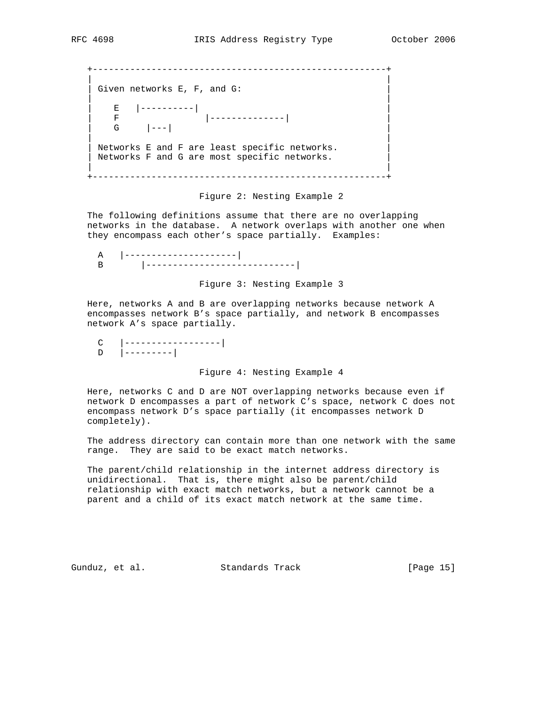```
 +-------------------------------------------------------+
 | |
  Given networks E, F, and G:
 | |
 | E |----------| |
| F |-------------| | |
\begin{vmatrix} 1 & 0 & -1 \\ 0 & -1 & 0 \\ 0 & 0 & 0 \end{vmatrix} | |
  Networks E and F are least specific networks.
  Networks F and G are most specific networks.
 | |
   +-------------------------------------------------------+
```
Figure 2: Nesting Example 2

 The following definitions assume that there are no overlapping networks in the database. A network overlaps with another one when they encompass each other's space partially. Examples:

 A |---------------------| B |----------------------------|

Figure 3: Nesting Example 3

 Here, networks A and B are overlapping networks because network A encompasses network B's space partially, and network B encompasses network A's space partially.

Figure 4: Nesting Example 4

 Here, networks C and D are NOT overlapping networks because even if network D encompasses a part of network C's space, network C does not encompass network D's space partially (it encompasses network D completely).

 The address directory can contain more than one network with the same range. They are said to be exact match networks.

 The parent/child relationship in the internet address directory is unidirectional. That is, there might also be parent/child relationship with exact match networks, but a network cannot be a parent and a child of its exact match network at the same time.

Gunduz, et al. Standards Track [Page 15]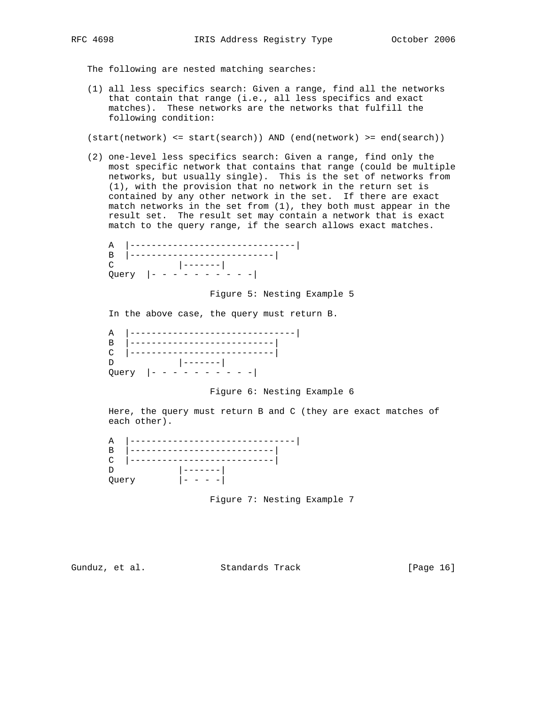The following are nested matching searches:

 (1) all less specifics search: Given a range, find all the networks that contain that range (i.e., all less specifics and exact matches). These networks are the networks that fulfill the following condition:

(start(network) <= start(search)) AND (end(network) >= end(search))

 (2) one-level less specifics search: Given a range, find only the most specific network that contains that range (could be multiple networks, but usually single). This is the set of networks from (1), with the provision that no network in the return set is contained by any other network in the set. If there are exact match networks in the set from (1), they both must appear in the result set. The result set may contain a network that is exact match to the query range, if the search allows exact matches.

 A |-------------------------------| B |---------------------------| C |-------| Query |- - - - - - - - - -|

Figure 5: Nesting Example 5

In the above case, the query must return B.

| Query $ - - -$ |
|----------------|

## Figure 6: Nesting Example 6

 Here, the query must return B and C (they are exact matches of each other).

 A |-------------------------------| B |---------------------------| C |---------------------------| D |-------| Query |- - - -|

Figure 7: Nesting Example 7

Gunduz, et al. Standards Track [Page 16]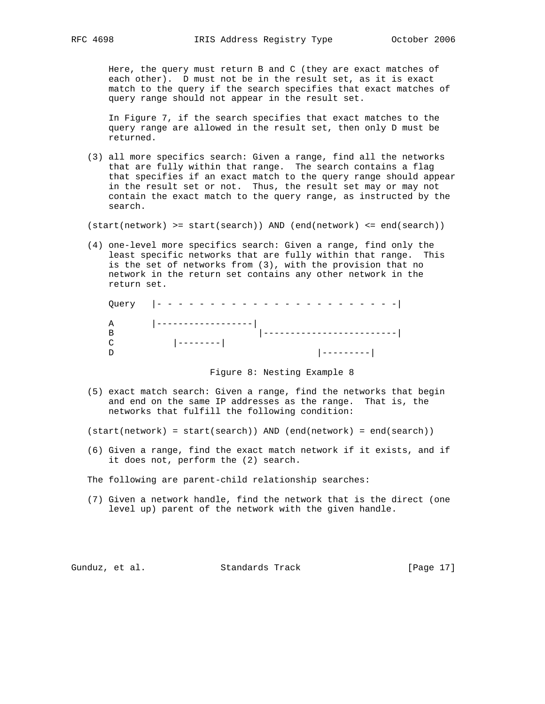Here, the query must return B and C (they are exact matches of each other). D must not be in the result set, as it is exact match to the query if the search specifies that exact matches of query range should not appear in the result set.

 In Figure 7, if the search specifies that exact matches to the query range are allowed in the result set, then only D must be returned.

 (3) all more specifics search: Given a range, find all the networks that are fully within that range. The search contains a flag that specifies if an exact match to the query range should appear in the result set or not. Thus, the result set may or may not contain the exact match to the query range, as instructed by the search.

(start(network) >= start(search)) AND (end(network) <= end(search))

 (4) one-level more specifics search: Given a range, find only the least specific networks that are fully within that range. This is the set of networks from (3), with the provision that no network in the return set contains any other network in the return set.

|              | Query $ - - - - - - - - - - - - - - -$ |  |
|--------------|----------------------------------------|--|
| $\mathbf{A}$ | ___________________                    |  |
|              |                                        |  |
|              | ----------                             |  |
|              |                                        |  |

## Figure 8: Nesting Example 8

 (5) exact match search: Given a range, find the networks that begin and end on the same IP addresses as the range. That is, the networks that fulfill the following condition:

(start(network) = start(search)) AND (end(network) = end(search))

 (6) Given a range, find the exact match network if it exists, and if it does not, perform the (2) search.

The following are parent-child relationship searches:

 (7) Given a network handle, find the network that is the direct (one level up) parent of the network with the given handle.

Gunduz, et al. Standards Track [Page 17]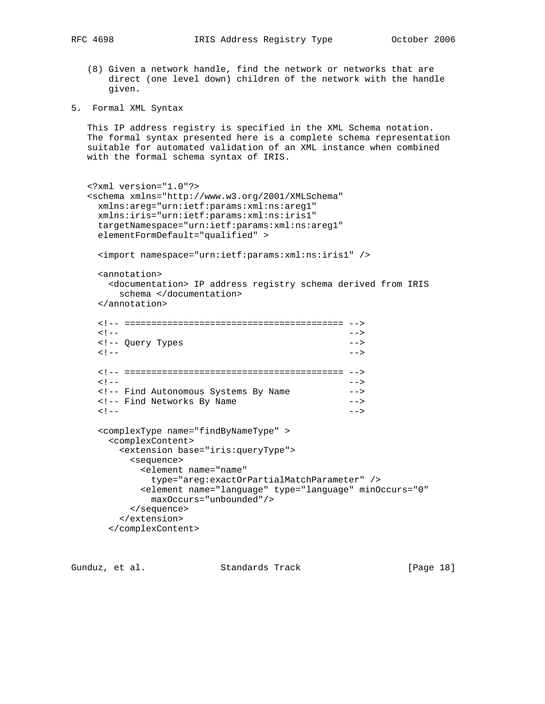- (8) Given a network handle, find the network or networks that are direct (one level down) children of the network with the handle given.
- 5. Formal XML Syntax

 This IP address registry is specified in the XML Schema notation. The formal syntax presented here is a complete schema representation suitable for automated validation of an XML instance when combined with the formal schema syntax of IRIS.

```
 <?xml version="1.0"?>
   <schema xmlns="http://www.w3.org/2001/XMLSchema"
    xmlns:areg="urn:ietf:params:xml:ns:areg1"
    xmlns:iris="urn:ietf:params:xml:ns:iris1"
    targetNamespace="urn:ietf:params:xml:ns:areg1"
    elementFormDefault="qualified" >
     <import namespace="urn:ietf:params:xml:ns:iris1" />
     <annotation>
      <documentation> IP address registry schema derived from IRIS
        schema </documentation>
     </annotation>
     <!-- ========================================= -->
\langle | -- | <!-- Query Types -->
\langle | -- | <!-- ========================================= -->
\langle | -- | <!-- Find Autonomous Systems By Name -->
     <!-- Find Networks By Name -->
\langle | -- | <complexType name="findByNameType" >
      <complexContent>
        <extension base="iris:queryType">
         <sequence>
           <element name="name"
             type="areg:exactOrPartialMatchParameter" />
           <element name="language" type="language" minOccurs="0"
            maxOccurs="unbounded"/>
         </sequence>
        </extension>
      </complexContent>
```
Gunduz, et al. Standards Track [Page 18]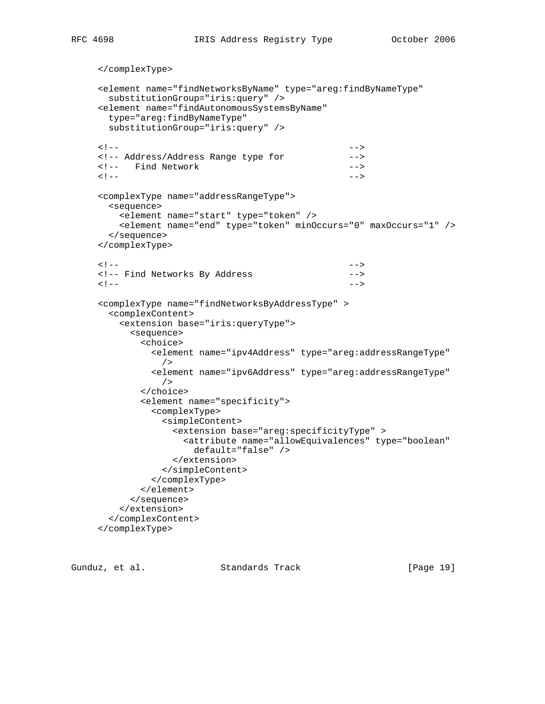```
 </complexType>
     <element name="findNetworksByName" type="areg:findByNameType"
      substitutionGroup="iris:query" />
     <element name="findAutonomousSystemsByName"
      type="areg:findByNameType"
      substitutionGroup="iris:query" />
\langle | -- | <!-- Address/Address Range type for -->
     <!-- Find Network -->
\langle | -- | <complexType name="addressRangeType">
      <sequence>
        <element name="start" type="token" />
        <element name="end" type="token" minOccurs="0" maxOccurs="1" />
      </sequence>
     </complexType>
\langle | -- | <!-- Find Networks By Address -->
\langle | -- | <complexType name="findNetworksByAddressType" >
       <complexContent>
        <extension base="iris:queryType">
          <sequence>
            <choice>
             <element name="ipv4Address" type="areg:addressRangeType"
               />
             <element name="ipv6Address" type="areg:addressRangeType"
               />
            </choice>
            <element name="specificity">
             <complexType>
               <simpleContent>
                 <extension base="areg:specificityType" >
                   <attribute name="allowEquivalences" type="boolean"
                    default="false" />
                 </extension>
               </simpleContent>
             </complexType>
            </element>
          </sequence>
        </extension>
      </complexContent>
     </complexType>
```
Gunduz, et al. Standards Track [Page 19]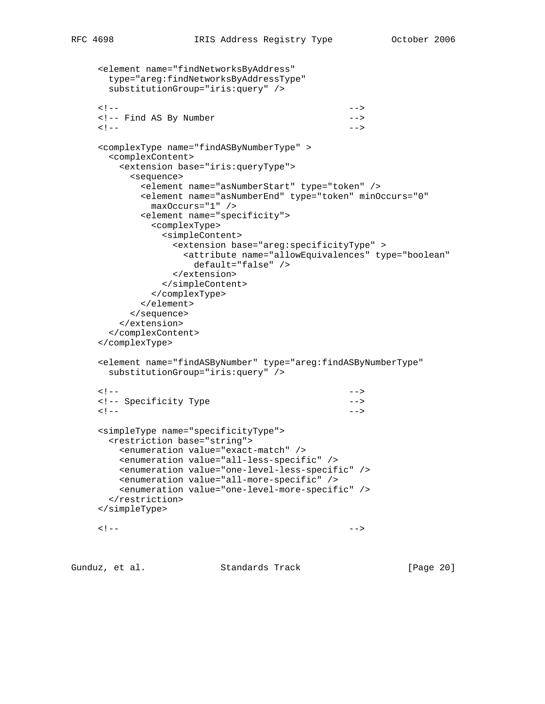```
 <element name="findNetworksByAddress"
      type="areg:findNetworksByAddressType"
      substitutionGroup="iris:query" />
\langle | -- | <!-- Find AS By Number -->
\langle | -- | <complexType name="findASByNumberType" >
      <complexContent>
        <extension base="iris:queryType">
          <sequence>
           <element name="asNumberStart" type="token" />
           <element name="asNumberEnd" type="token" minOccurs="0"
             maxOccurs="1" />
           <element name="specificity">
             <complexType>
               <simpleContent>
                <extension base="areg:specificityType" >
                  <attribute name="allowEquivalences" type="boolean"
                    default="false" />
                </extension>
               </simpleContent>
             </complexType>
           </element>
          </sequence>
        </extension>
      </complexContent>
     </complexType>
     <element name="findASByNumber" type="areg:findASByNumberType"
      substitutionGroup="iris:query" />
\langle | -- | <!-- Specificity Type -->
\langle | -- | <simpleType name="specificityType">
      <restriction base="string">
        <enumeration value="exact-match" />
        <enumeration value="all-less-specific" />
        <enumeration value="one-level-less-specific" />
        <enumeration value="all-more-specific" />
        <enumeration value="one-level-more-specific" />
      </restriction>
     </simpleType>
\langle | -- |
```
Gunduz, et al. Standards Track [Page 20]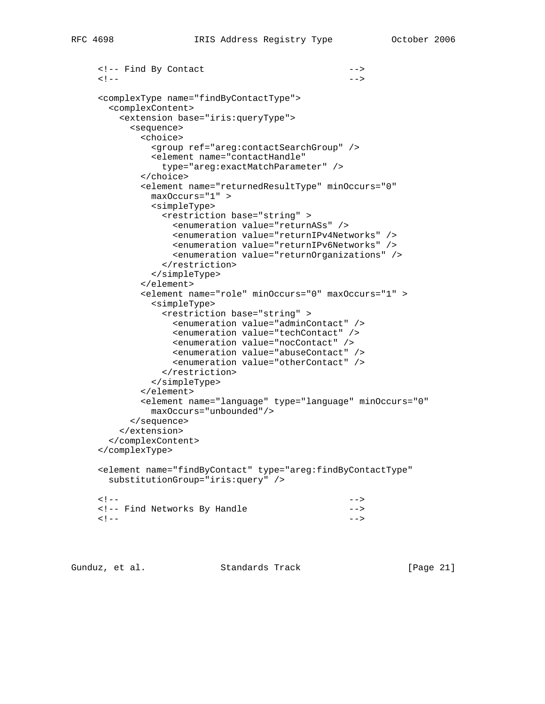```
 <!-- Find By Contact -->
\langle | -- | <complexType name="findByContactType">
       <complexContent>
         <extension base="iris:queryType">
          <sequence>
            <choice>
              <group ref="areg:contactSearchGroup" />
              <element name="contactHandle"
                type="areg:exactMatchParameter" />
            </choice>
            <element name="returnedResultType" minOccurs="0"
              maxOccurs="1" >
              <simpleType>
                <restriction base="string" >
                  <enumeration value="returnASs" />
                  <enumeration value="returnIPv4Networks" />
                  <enumeration value="returnIPv6Networks" />
                  <enumeration value="returnOrganizations" />
                </restriction>
              </simpleType>
            </element>
            <element name="role" minOccurs="0" maxOccurs="1" >
              <simpleType>
                <restriction base="string" >
                  <enumeration value="adminContact" />
                  <enumeration value="techContact" />
                  <enumeration value="nocContact" />
                  <enumeration value="abuseContact" />
                  <enumeration value="otherContact" />
                </restriction>
              </simpleType>
            </element>
            <element name="language" type="language" minOccurs="0"
              maxOccurs="unbounded"/>
          </sequence>
         </extension>
       </complexContent>
     </complexType>
     <element name="findByContact" type="areg:findByContactType"
       substitutionGroup="iris:query" />
\langle | -- | <!-- Find Networks By Handle -->
\langle | -- |
```
Gunduz, et al. Standards Track [Page 21]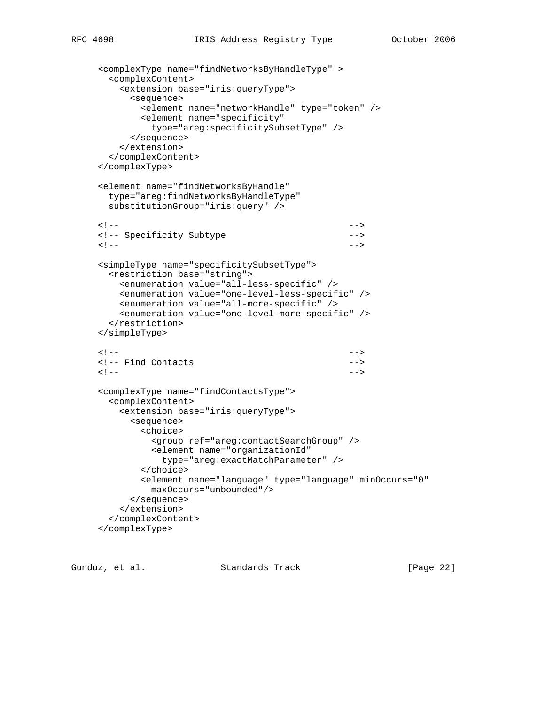```
 <complexType name="findNetworksByHandleType" >
       <complexContent>
        <extension base="iris:queryType">
          <sequence>
            <element name="networkHandle" type="token" />
            <element name="specificity"
             type="areg:specificitySubsetType" />
          </sequence>
        </extension>
       </complexContent>
     </complexType>
     <element name="findNetworksByHandle"
       type="areg:findNetworksByHandleType"
       substitutionGroup="iris:query" />
\langle | -- | <!-- Specificity Subtype -->
\langle | -- | <simpleType name="specificitySubsetType">
       <restriction base="string">
        <enumeration value="all-less-specific" />
        <enumeration value="one-level-less-specific" />
        <enumeration value="all-more-specific" />
        <enumeration value="one-level-more-specific" />
       </restriction>
     </simpleType>
\langle | -- | <!-- Find Contacts -->
\langle | -- | <complexType name="findContactsType">
       <complexContent>
        <extension base="iris:queryType">
          <sequence>
            <choice>
              <group ref="areg:contactSearchGroup" />
              <element name="organizationId"
               type="areg:exactMatchParameter" />
            </choice>
            <element name="language" type="language" minOccurs="0"
             maxOccurs="unbounded"/>
          </sequence>
        </extension>
       </complexContent>
     </complexType>
```
Gunduz, et al. Standards Track [Page 22]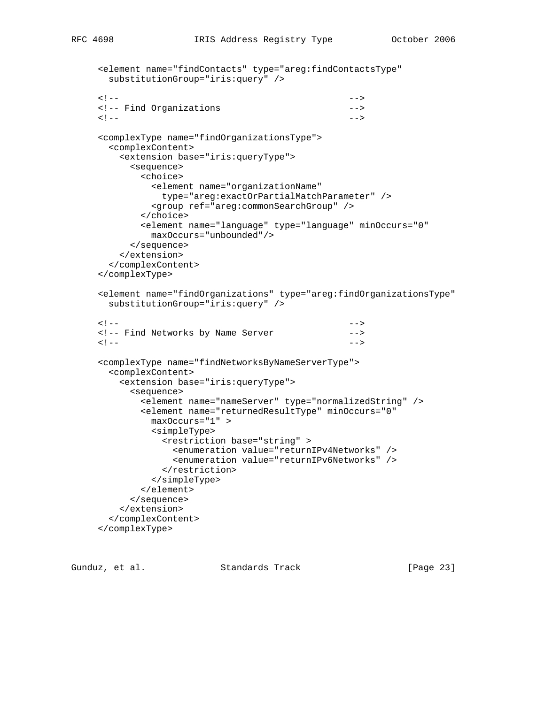```
 <element name="findContacts" type="areg:findContactsType"
      substitutionGroup="iris:query" />
\langle | -- | <!-- Find Organizations -->
\langle | -- | <complexType name="findOrganizationsType">
       <complexContent>
        <extension base="iris:queryType">
          <sequence>
            <choice>
              <element name="organizationName"
               type="areg:exactOrPartialMatchParameter" />
              <group ref="areg:commonSearchGroup" />
            </choice>
            <element name="language" type="language" minOccurs="0"
              maxOccurs="unbounded"/>
          </sequence>
         </extension>
       </complexContent>
     </complexType>
     <element name="findOrganizations" type="areg:findOrganizationsType"
       substitutionGroup="iris:query" />
\langle | -- | <!-- Find Networks by Name Server -->
\langle | -- | <complexType name="findNetworksByNameServerType">
       <complexContent>
         <extension base="iris:queryType">
          <sequence>
            <element name="nameServer" type="normalizedString" />
            <element name="returnedResultType" minOccurs="0"
              maxOccurs="1" >
              <simpleType>
               <restriction base="string" >
                 <enumeration value="returnIPv4Networks" />
                 <enumeration value="returnIPv6Networks" />
               </restriction>
              </simpleType>
            </element>
          </sequence>
         </extension>
       </complexContent>
     </complexType>
```
Gunduz, et al. Standards Track [Page 23]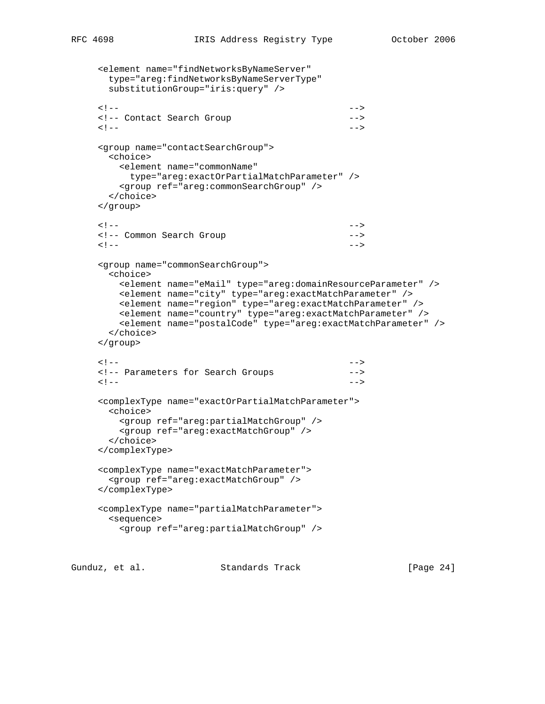```
 <element name="findNetworksByNameServer"
      type="areg:findNetworksByNameServerType"
      substitutionGroup="iris:query" />
\langle | -- | <!-- Contact Search Group -->
\langle | -- | <group name="contactSearchGroup">
      <choice>
        <element name="commonName"
         type="areg:exactOrPartialMatchParameter" />
        <group ref="areg:commonSearchGroup" />
      </choice>
    </group>
\langle | -- | <!-- Common Search Group -->
\langle | -- | <group name="commonSearchGroup">
      <choice>
        <element name="eMail" type="areg:domainResourceParameter" />
       <element name="city" type="areg:exactMatchParameter" />
       <element name="region" type="areg:exactMatchParameter" />
        <element name="country" type="areg:exactMatchParameter" />
        <element name="postalCode" type="areg:exactMatchParameter" />
      </choice>
    </group>
\langle | -- | <!-- Parameters for Search Groups -->
\langle | -- | <complexType name="exactOrPartialMatchParameter">
      <choice>
        <group ref="areg:partialMatchGroup" />
        <group ref="areg:exactMatchGroup" />
      </choice>
    </complexType>
    <complexType name="exactMatchParameter">
      <group ref="areg:exactMatchGroup" />
    </complexType>
     <complexType name="partialMatchParameter">
      <sequence>
        <group ref="areg:partialMatchGroup" />
```
Gunduz, et al. Standards Track [Page 24]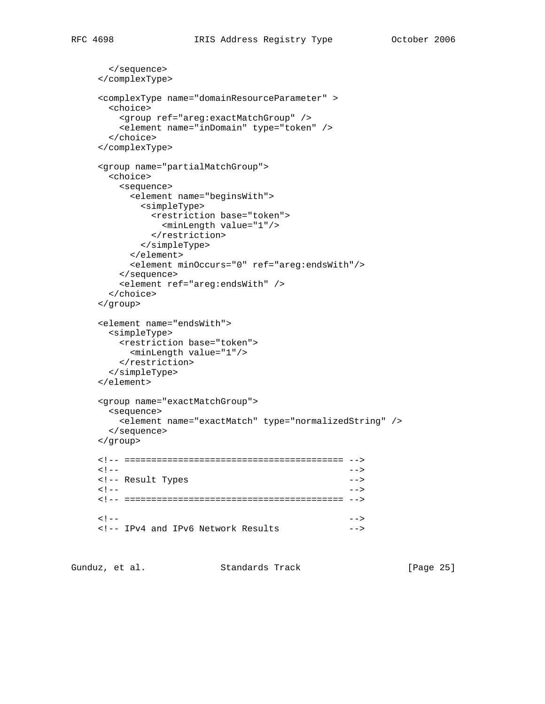```
 </sequence>
     </complexType>
     <complexType name="domainResourceParameter" >
       <choice>
        <group ref="areg:exactMatchGroup" />
        <element name="inDomain" type="token" />
       </choice>
     </complexType>
     <group name="partialMatchGroup">
       <choice>
        <sequence>
          <element name="beginsWith">
            <simpleType>
             <restriction base="token">
                <minLength value="1"/>
              </restriction>
            </simpleType>
          </element>
          <element minOccurs="0" ref="areg:endsWith"/>
        </sequence>
         <element ref="areg:endsWith" />
       </choice>
     </group>
     <element name="endsWith">
       <simpleType>
        <restriction base="token">
          <minLength value="1"/>
        </restriction>
       </simpleType>
     </element>
     <group name="exactMatchGroup">
      <sequence>
        <element name="exactMatch" type="normalizedString" />
       </sequence>
     </group>
     <!-- ========================================= -->
\langle | -- | <!-- Result Types -->
\langle | -- | <!-- ========================================= -->
\langle | -- | <!-- IPv4 and IPv6 Network Results -->
```
Gunduz, et al. Standards Track [Page 25]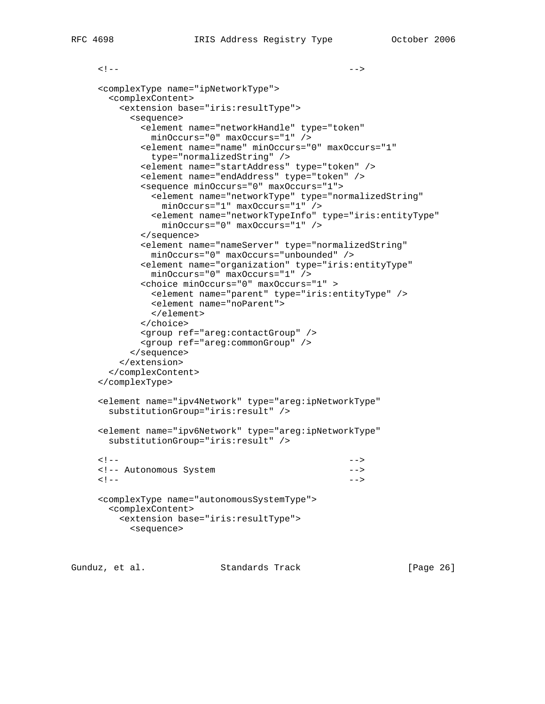```
\langle | -- | <complexType name="ipNetworkType">
       <complexContent>
         <extension base="iris:resultType">
           <sequence>
            <element name="networkHandle" type="token"
              minOccurs="0" maxOccurs="1" />
            <element name="name" minOccurs="0" maxOccurs="1"
              type="normalizedString" />
            <element name="startAddress" type="token" />
             <element name="endAddress" type="token" />
             <sequence minOccurs="0" maxOccurs="1">
              <element name="networkType" type="normalizedString"
                minOccurs="1" maxOccurs="1" />
              <element name="networkTypeInfo" type="iris:entityType"
                minOccurs="0" maxOccurs="1" />
             </sequence>
             <element name="nameServer" type="normalizedString"
              minOccurs="0" maxOccurs="unbounded" />
             <element name="organization" type="iris:entityType"
              minOccurs="0" maxOccurs="1" />
             <choice minOccurs="0" maxOccurs="1" >
              <element name="parent" type="iris:entityType" />
              <element name="noParent">
              </element>
             </choice>
            <group ref="areg:contactGroup" />
             <group ref="areg:commonGroup" />
           </sequence>
         </extension>
       </complexContent>
     </complexType>
     <element name="ipv4Network" type="areg:ipNetworkType"
       substitutionGroup="iris:result" />
     <element name="ipv6Network" type="areg:ipNetworkType"
       substitutionGroup="iris:result" />
\langle | -- | <!-- Autonomous System -->
\langle | -- | <complexType name="autonomousSystemType">
       <complexContent>
         <extension base="iris:resultType">
```

```
 <sequence>
```
Gunduz, et al. Standards Track [Page 26]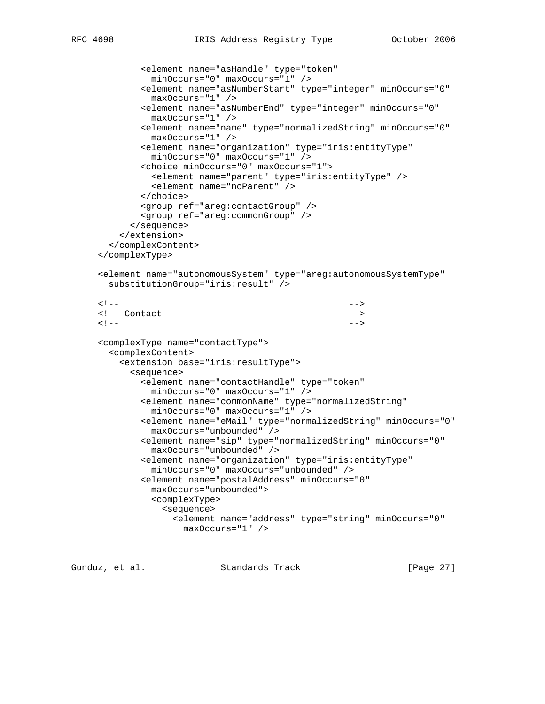```
 <element name="asHandle" type="token"
               minOccurs="0" maxOccurs="1" />
             <element name="asNumberStart" type="integer" minOccurs="0"
               maxOccurs="1" />
             <element name="asNumberEnd" type="integer" minOccurs="0"
               maxOccurs="1" />
             <element name="name" type="normalizedString" minOccurs="0"
               maxOccurs="1" />
             <element name="organization" type="iris:entityType"
               minOccurs="0" maxOccurs="1" />
             <choice minOccurs="0" maxOccurs="1">
               <element name="parent" type="iris:entityType" />
               <element name="noParent" />
             </choice>
             <group ref="areg:contactGroup" />
             <group ref="areg:commonGroup" />
           </sequence>
         </extension>
       </complexContent>
     </complexType>
     <element name="autonomousSystem" type="areg:autonomousSystemType"
       substitutionGroup="iris:result" />
\langle | -- |<!-- Contact -->
\langle | -- | <complexType name="contactType">
       <complexContent>
         <extension base="iris:resultType">
           <sequence>
             <element name="contactHandle" type="token"
               minOccurs="0" maxOccurs="1" />
             <element name="commonName" type="normalizedString"
               minOccurs="0" maxOccurs="1" />
             <element name="eMail" type="normalizedString" minOccurs="0"
               maxOccurs="unbounded" />
             <element name="sip" type="normalizedString" minOccurs="0"
               maxOccurs="unbounded" />
             <element name="organization" type="iris:entityType"
               minOccurs="0" maxOccurs="unbounded" />
             <element name="postalAddress" minOccurs="0"
              maxOccurs="unbounded">
               <complexType>
                 <sequence>
                   <element name="address" type="string" minOccurs="0"
                    maxOccurs="1" />
```
Gunduz, et al. Standards Track [Page 27]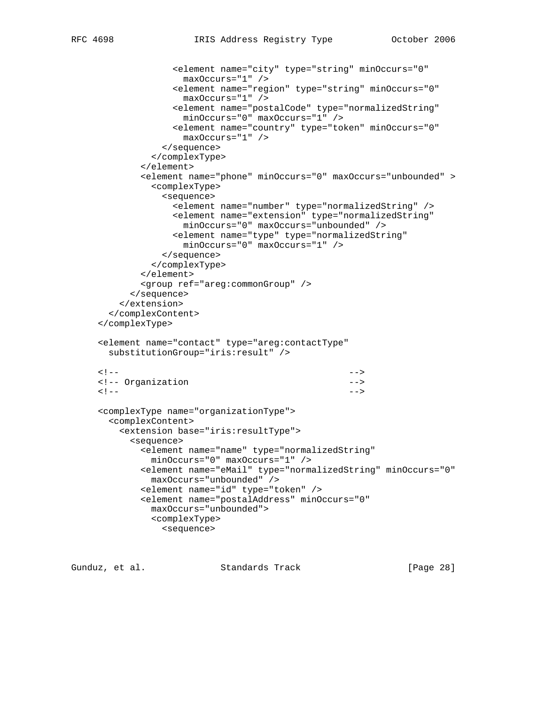```
 <element name="city" type="string" minOccurs="0"
                     maxOccurs="1" />
                   <element name="region" type="string" minOccurs="0"
                     maxOccurs="1" />
                   <element name="postalCode" type="normalizedString"
                    minOccurs="0" maxOccurs="1" />
                   <element name="country" type="token" minOccurs="0"
                    maxOccurs="1" />
                 </sequence>
               </complexType>
             </element>
             <element name="phone" minOccurs="0" maxOccurs="unbounded" >
               <complexType>
                 <sequence>
                   <element name="number" type="normalizedString" />
                   <element name="extension" type="normalizedString"
                    minOccurs="0" maxOccurs="unbounded" />
                   <element name="type" type="normalizedString"
                    minOccurs="0" maxOccurs="1" />
                 </sequence>
               </complexType>
             </element>
             <group ref="areg:commonGroup" />
           </sequence>
         </extension>
       </complexContent>
     </complexType>
     <element name="contact" type="areg:contactType"
       substitutionGroup="iris:result" />
\langle | -- | <!-- Organization -->
\langle | -- | <complexType name="organizationType">
       <complexContent>
         <extension base="iris:resultType">
           <sequence>
             <element name="name" type="normalizedString"
               minOccurs="0" maxOccurs="1" />
             <element name="eMail" type="normalizedString" minOccurs="0"
              maxOccurs="unbounded" />
             <element name="id" type="token" />
             <element name="postalAddress" minOccurs="0"
              maxOccurs="unbounded">
               <complexType>
                 <sequence>
```
Gunduz, et al. Standards Track [Page 28]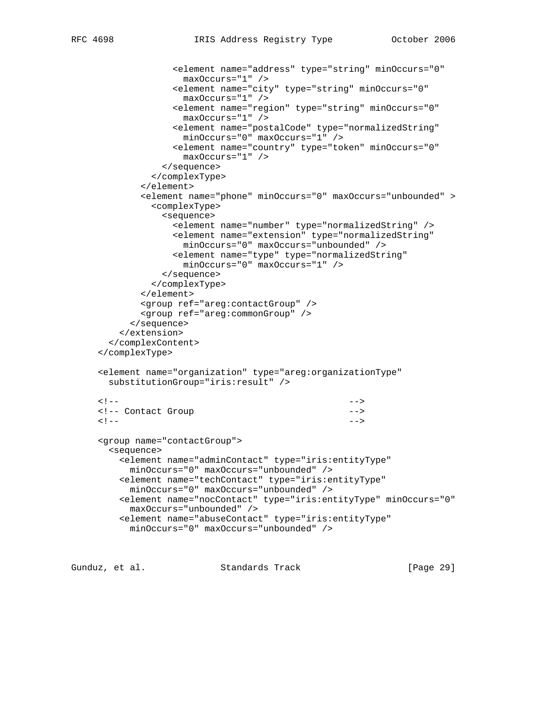```
 <element name="address" type="string" minOccurs="0"
                     maxOccurs="1" />
                   <element name="city" type="string" minOccurs="0"
                     maxOccurs="1" />
                   <element name="region" type="string" minOccurs="0"
                    maxOccurs="1" />
                   <element name="postalCode" type="normalizedString"
                    minOccurs="0" maxOccurs="1" />
                   <element name="country" type="token" minOccurs="0"
                    maxOccurs="1" />
                 </sequence>
               </complexType>
             </element>
             <element name="phone" minOccurs="0" maxOccurs="unbounded" >
               <complexType>
                 <sequence>
                   <element name="number" type="normalizedString" />
                   <element name="extension" type="normalizedString"
                    minOccurs="0" maxOccurs="unbounded" />
                   <element name="type" type="normalizedString"
                    minOccurs="0" maxOccurs="1" />
                 </sequence>
               </complexType>
             </element>
             <group ref="areg:contactGroup" />
             <group ref="areg:commonGroup" />
           </sequence>
         </extension>
       </complexContent>
     </complexType>
     <element name="organization" type="areg:organizationType"
       substitutionGroup="iris:result" />
\langle | -- | <!-- Contact Group -->
\langle | -- | <group name="contactGroup">
       <sequence>
         <element name="adminContact" type="iris:entityType"
           minOccurs="0" maxOccurs="unbounded" />
         <element name="techContact" type="iris:entityType"
           minOccurs="0" maxOccurs="unbounded" />
         <element name="nocContact" type="iris:entityType" minOccurs="0"
           maxOccurs="unbounded" />
         <element name="abuseContact" type="iris:entityType"
           minOccurs="0" maxOccurs="unbounded" />
```
Gunduz, et al. Standards Track [Page 29]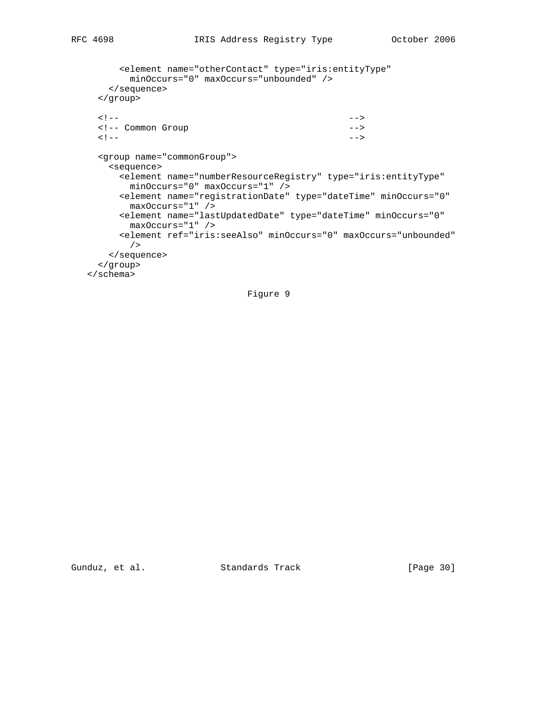```
 <element name="otherContact" type="iris:entityType"
          minOccurs="0" maxOccurs="unbounded" />
      </sequence>
     </group>
\langle | -- | <!-- Common Group -->
\langle | -- | <group name="commonGroup">
      <sequence>
        <element name="numberResourceRegistry" type="iris:entityType"
         minOccurs="0" maxOccurs="1" />
        <element name="registrationDate" type="dateTime" minOccurs="0"
         maxOccurs="1" />
        <element name="lastUpdatedDate" type="dateTime" minOccurs="0"
         maxOccurs="1" />
        <element ref="iris:seeAlso" minOccurs="0" maxOccurs="unbounded"
          />
      </sequence>
     </group>
   </schema>
```
Figure 9

Gunduz, et al. Standards Track [Page 30]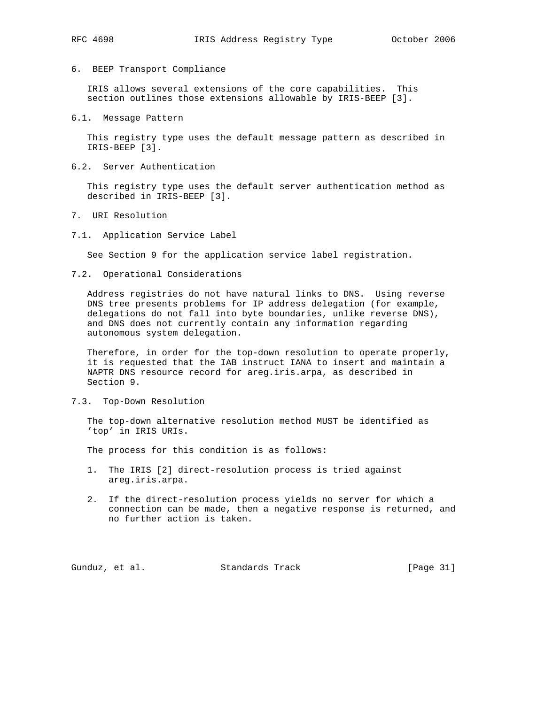- 
- 6. BEEP Transport Compliance

 IRIS allows several extensions of the core capabilities. This section outlines those extensions allowable by IRIS-BEEP [3].

6.1. Message Pattern

 This registry type uses the default message pattern as described in IRIS-BEEP [3].

6.2. Server Authentication

 This registry type uses the default server authentication method as described in IRIS-BEEP [3].

- 7. URI Resolution
- 7.1. Application Service Label

See Section 9 for the application service label registration.

7.2. Operational Considerations

 Address registries do not have natural links to DNS. Using reverse DNS tree presents problems for IP address delegation (for example, delegations do not fall into byte boundaries, unlike reverse DNS), and DNS does not currently contain any information regarding autonomous system delegation.

 Therefore, in order for the top-down resolution to operate properly, it is requested that the IAB instruct IANA to insert and maintain a NAPTR DNS resource record for areg.iris.arpa, as described in Section 9.

7.3. Top-Down Resolution

 The top-down alternative resolution method MUST be identified as 'top' in IRIS URIs.

The process for this condition is as follows:

- 1. The IRIS [2] direct-resolution process is tried against areg.iris.arpa.
- 2. If the direct-resolution process yields no server for which a connection can be made, then a negative response is returned, and no further action is taken.

Gunduz, et al. Standards Track [Page 31]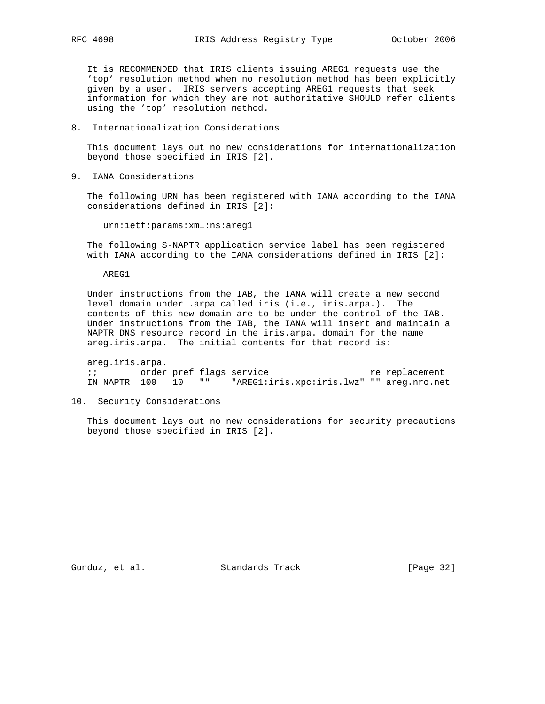It is RECOMMENDED that IRIS clients issuing AREG1 requests use the 'top' resolution method when no resolution method has been explicitly given by a user. IRIS servers accepting AREG1 requests that seek information for which they are not authoritative SHOULD refer clients using the 'top' resolution method.

8. Internationalization Considerations

 This document lays out no new considerations for internationalization beyond those specified in IRIS [2].

9. IANA Considerations

 The following URN has been registered with IANA according to the IANA considerations defined in IRIS [2]:

urn:ietf:params:xml:ns:areg1

 The following S-NAPTR application service label has been registered with IANA according to the IANA considerations defined in IRIS [2]:

AREG1

 Under instructions from the IAB, the IANA will create a new second level domain under .arpa called iris (i.e., iris.arpa.). The contents of this new domain are to be under the control of the IAB. Under instructions from the IAB, the IANA will insert and maintain a NAPTR DNS resource record in the iris.arpa. domain for the name areg.iris.arpa. The initial contents for that record is:

 areg.iris.arpa. ; i corder pref flags service the replacement IN NAPTR 100 10 "" "AREG1:iris.xpc:iris.lwz" "" areg.nro.net

10. Security Considerations

 This document lays out no new considerations for security precautions beyond those specified in IRIS [2].

Gunduz, et al. Standards Track [Page 32]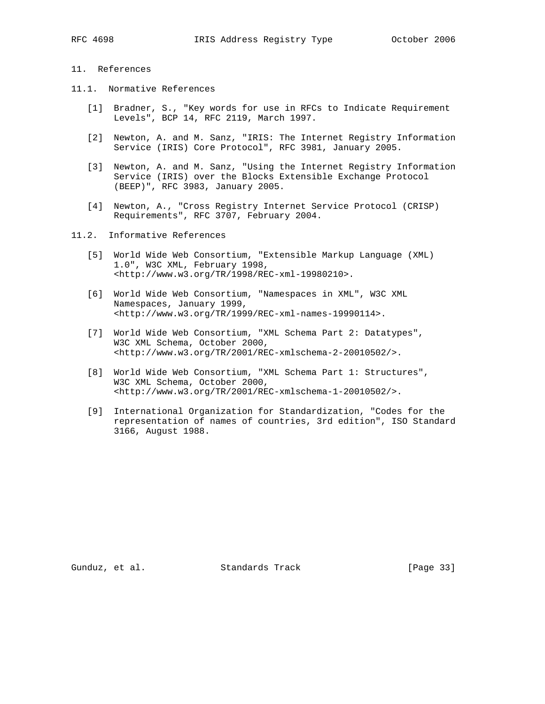# 11. References

- 11.1. Normative References
	- [1] Bradner, S., "Key words for use in RFCs to Indicate Requirement Levels", BCP 14, RFC 2119, March 1997.
	- [2] Newton, A. and M. Sanz, "IRIS: The Internet Registry Information Service (IRIS) Core Protocol", RFC 3981, January 2005.
	- [3] Newton, A. and M. Sanz, "Using the Internet Registry Information Service (IRIS) over the Blocks Extensible Exchange Protocol (BEEP)", RFC 3983, January 2005.
	- [4] Newton, A., "Cross Registry Internet Service Protocol (CRISP) Requirements", RFC 3707, February 2004.
- 11.2. Informative References
	- [5] World Wide Web Consortium, "Extensible Markup Language (XML) 1.0", W3C XML, February 1998, <http://www.w3.org/TR/1998/REC-xml-19980210>.
	- [6] World Wide Web Consortium, "Namespaces in XML", W3C XML Namespaces, January 1999, <http://www.w3.org/TR/1999/REC-xml-names-19990114>.
	- [7] World Wide Web Consortium, "XML Schema Part 2: Datatypes", W3C XML Schema, October 2000, <http://www.w3.org/TR/2001/REC-xmlschema-2-20010502/>.
	- [8] World Wide Web Consortium, "XML Schema Part 1: Structures", W3C XML Schema, October 2000, <http://www.w3.org/TR/2001/REC-xmlschema-1-20010502/>.
	- [9] International Organization for Standardization, "Codes for the representation of names of countries, 3rd edition", ISO Standard 3166, August 1988.

Gunduz, et al. Standards Track [Page 33]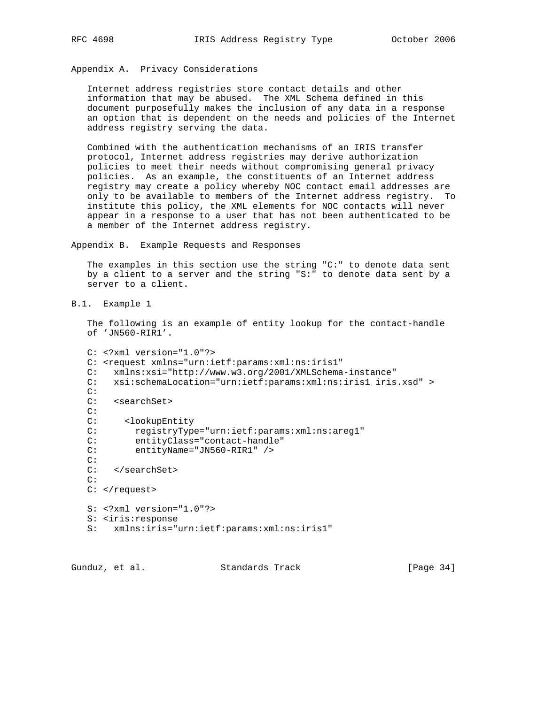Appendix A. Privacy Considerations

 Internet address registries store contact details and other information that may be abused. The XML Schema defined in this document purposefully makes the inclusion of any data in a response an option that is dependent on the needs and policies of the Internet address registry serving the data.

 Combined with the authentication mechanisms of an IRIS transfer protocol, Internet address registries may derive authorization policies to meet their needs without compromising general privacy policies. As an example, the constituents of an Internet address registry may create a policy whereby NOC contact email addresses are only to be available to members of the Internet address registry. To institute this policy, the XML elements for NOC contacts will never appear in a response to a user that has not been authenticated to be a member of the Internet address registry.

Appendix B. Example Requests and Responses

 The examples in this section use the string "C:" to denote data sent by a client to a server and the string "S:" to denote data sent by a server to a client.

B.1. Example 1

 The following is an example of entity lookup for the contact-handle of 'JN560-RIR1'.

```
 C: <?xml version="1.0"?>
C: <request xmlns="urn:ietf:params:xml:ns:iris1"
 C: xmlns:xsi="http://www.w3.org/2001/XMLSchema-instance"
 C: xsi:schemaLocation="urn:ietf:params:xml:ns:iris1 iris.xsd" >
 C:
 C: <searchSet>
C:<br>C:
       C: <lookupEntity
C: registryType="urn:ietf:params:xml:ns:areg1"<br>C: entityClass="contact-handle"
         entityClass="contact-handle"
 C: entityName="JN560-RIR1" />
 C:
 C: </searchSet>
 C:
C: </request>
 S: <?xml version="1.0"?>
 S: <iris:response
 S: xmlns:iris="urn:ietf:params:xml:ns:iris1"
```
Gunduz, et al. Standards Track [Page 34]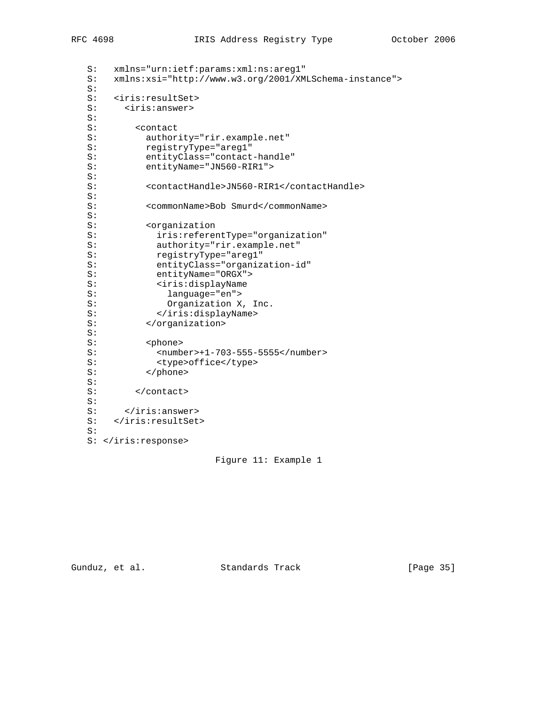```
 S: xmlns="urn:ietf:params:xml:ns:areg1"
   S: xmlns:xsi="http://www.w3.org/2001/XMLSchema-instance">
   S:
   S: <iris:resultSet>
   S: <iris:answer>
  S:<br>S:
         <contact
   S: authority="rir.example.net"
   S: registryType="areg1"
   S: entityClass="contact-handle"
   S: entityName="JN560-RIR1">
   S:
   S: <contactHandle>JN560-RIR1</contactHandle>
   S:
   S: <commonName>Bob Smurd</commonName>
   S:
   S: <organization
  S: iris:referentType="organization"<br>S: authority="rir.example.net"
            authority="rir.example.net"
   S: registryType="areg1"
   S: entityClass="organization-id"
 S: entityName="ORGX">
S: <iris:displayName
   S: language="en">
  S: Organization X, Inc.
  S: </iris:displayName><br>S: </organization>
         S: </organization>
   S:
   S: <phone>
   S: <number>+1-703-555-5555</number>
              S: <type>office</type>
            S: </phone>
  S:S: </contact>
  S:S: </iris:answer>
   S: </iris:resultSet>
   S:
   S: </iris:response>
```
Figure 11: Example 1

Gunduz, et al. Standards Track [Page 35]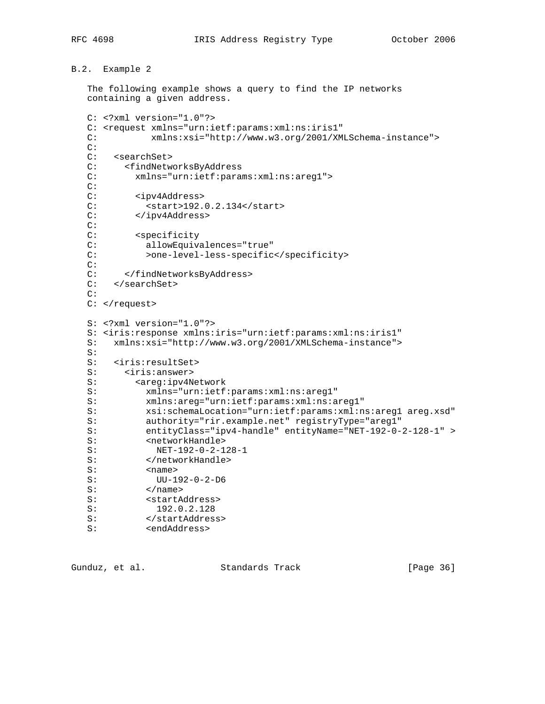```
B.2. Example 2
```
 The following example shows a query to find the IP networks containing a given address.

```
 C: <?xml version="1.0"?>
  C: <request xmlns="urn:ietf:params:xml:ns:iris1"
   C: xmlns:xsi="http://www.w3.org/2001/XMLSchema-instance">
   C:
   C: <searchSet>
   C: <findNetworksByAddress
   C: xmlns="urn:ietf:params:xml:ns:areg1">
   C:
   C: <ipv4Address>
  C: <start>192.0.2.134</start>
   C: </ipv4Address>
   C:
  C: <specificity
   C: allowEquivalences="true"
   C: >one-level-less-specific</specificity>
   C:
   C: </findNetworksByAddress>
   C: </searchSet>
  C:C: </request>
   S: <?xml version="1.0"?>
   S: <iris:response xmlns:iris="urn:ietf:params:xml:ns:iris1"
   S: xmlns:xsi="http://www.w3.org/2001/XMLSchema-instance">
   S:
   S: <iris:resultSet>
   S: <iris:answer>
  S: <areg:ipv4Network
   S: xmlns="urn:ietf:params:xml:ns:areg1"
   S: xmlns:areg="urn:ietf:params:xml:ns:areg1"
   S: xsi:schemaLocation="urn:ietf:params:xml:ns:areg1 areg.xsd"
   S: authority="rir.example.net" registryType="areg1"
   S: entityClass="ipv4-handle" entityName="NET-192-0-2-128-1" >
  S: <networkHandle>
  S: NET-192-0-2-128-1
  S: </networkHandle>
   S: <name>
   S: UU-192-0-2-D6
  S: </name>
  S: <startAddress>
   S: 192.0.2.128
S: </startAddress>
 S: <endAddress>
```
Gunduz, et al. Standards Track [Page 36]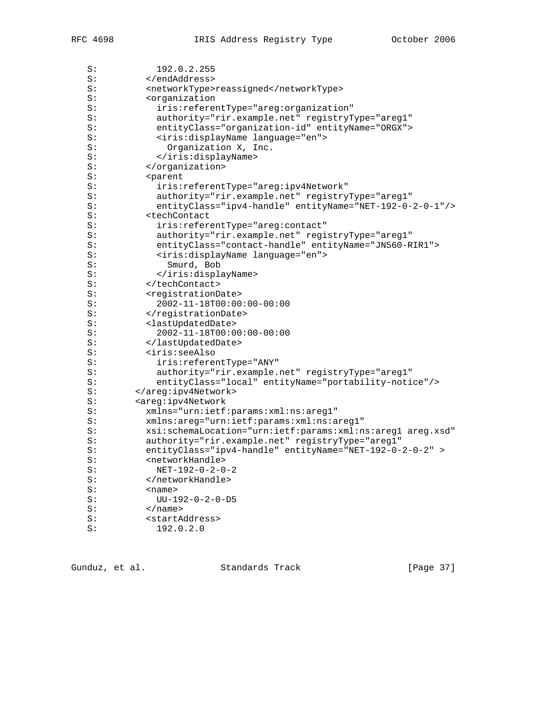| S: | 192.0.2.255                                                |
|----|------------------------------------------------------------|
| S: |                                                            |
| S: | <networktype>reassigned</networktype>                      |
| S: | <organization< td=""></organization<>                      |
| S: | iris: referentType="areg: organization"                    |
| S: | authority="rir.example.net" registryType="areg1"           |
| S: | entityClass="organization-id" entityName="ORGX">           |
| S: | <iris:displayname language="en"></iris:displayname>        |
| S: | Organization X, Inc.                                       |
| S: |                                                            |
| S: |                                                            |
| S: | <parent< td=""></parent<>                                  |
| S: | iris: referentType="areg: ipv4Network"                     |
| S: | authority="rir.example.net" registryType="areg1"           |
| S: | entityClass="ipv4-handle" entityName="NET-192-0-2-0-1"/>   |
| S: | <techcontact< td=""></techcontact<>                        |
| S: | iris: referentType="areg: contact"                         |
| S: | authority="rir.example.net" registryType="areg1"           |
| S: | entityClass="contact-handle" entityName="JN560-RIR1">      |
| S: | <iris:displayname language="en"></iris:displayname>        |
| S: | Smurd, Bob                                                 |
| S: |                                                            |
| S: |                                                            |
| S: | <registrationdate></registrationdate>                      |
| S: | $2002 - 11 - 18T00:00:00 - 00:00$                          |
| S: |                                                            |
| S: | <lastupdateddate></lastupdateddate>                        |
| S: | $2002 - 11 - 18T00:00:00 - 00:00$                          |
| S: |                                                            |
| S: | <iris:seealso< td=""></iris:seealso<>                      |
| S: | iris: referentType="ANY"                                   |
| S: | authority="rir.example.net" registryType="areg1"           |
| S: | entityClass="local" entityName="portability-notice"/>      |
| S: |                                                            |
| S: | <areg:ipv4network< td=""></areg:ipv4network<>              |
| S: | xmlns="urn:ietf:params:xml:ns:areg1"                       |
| S: | xmlns:areg="urn:ietf:params:xml:ns:areg1"                  |
| S: | xsi:schemaLocation="urn:ietf:params:xml:ns:areg1 areg.xsd" |
| S: | authority="rir.example.net" registryType="areg1"           |
| S: | entityClass="ipv4-handle" entityName="NET-192-0-2-0-2" >   |
| S: | <networkhandle></networkhandle>                            |
| S: | $NET-192-0-2-0-2$                                          |
| S: |                                                            |
| S: | <name></name>                                              |
| S: | $UU-192-0-2-0-D5$                                          |
| S: |                                                            |
| S: | <startaddress></startaddress>                              |
| S: | 192.0.2.0                                                  |
|    |                                                            |

Gunduz, et al. Standards Track [Page 37]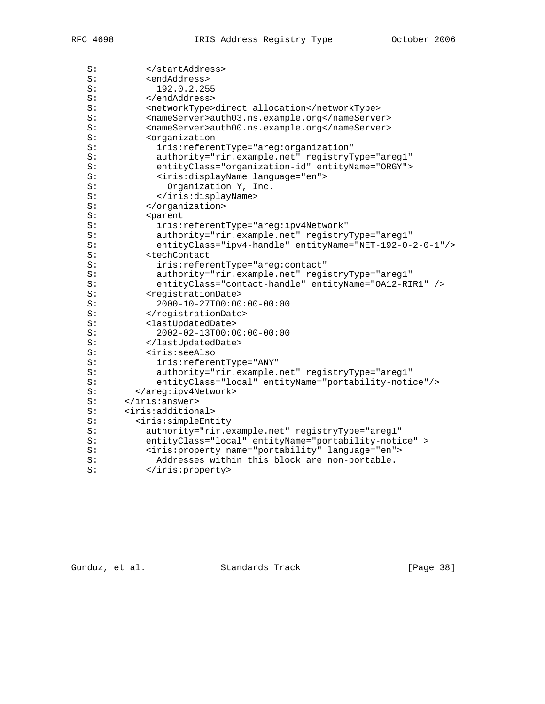Gunduz, et al. Standards Track [Page 38]

| S: |                                                              |
|----|--------------------------------------------------------------|
| S: | <networktype>direct allocation</networktype>                 |
| S: | <nameserver>auth03.ns.example.org</nameserver>               |
| S: | <nameserver>auth00.ns.example.org</nameserver>               |
| S: | <organization< td=""></organization<>                        |
| S: | iris:referentType="areg:organization"                        |
| S: | authority="rir.example.net" registryType="areg1"             |
| S: | entityClass="organization-id" entityName="ORGY">             |
| S: | <iris:displayname language="en"></iris:displayname>          |
| S: | Organization Y, Inc.                                         |
| S: |                                                              |
| S: |                                                              |
| S: | <parent< td=""></parent<>                                    |
| S: | iris:referentType="areg:ipv4Network"                         |
| S: | authority="rir.example.net" registryType="areg1"             |
| S: | entityClass="ipv4-handle" entityName="NET-192-0-2-0-1"/>     |
| S: | <techcontact< td=""></techcontact<>                          |
| S: | iris: referentType="areg: contact"                           |
| S: | authority="rir.example.net" registryType="areg1"             |
| S: | entityClass="contact-handle" entityName="OA12-RIR1" />       |
| S: | <registrationdate></registrationdate>                        |
| S: | $2000 - 10 - 27T00:00:00 - 00:00$                            |
| S: |                                                              |
| S: | <lastupdateddate></lastupdateddate>                          |
| S: | $2002 - 02 - 13T00:00:00 - 00:00$                            |
| S: |                                                              |
| S: | <iris:seealso< td=""></iris:seealso<>                        |
| S: | iris: referentType="ANY"                                     |
| S: | authority="rir.example.net" registryType="areg1"             |
| S: | entityClass="local" entityName="portability-notice"/>        |
| S: |                                                              |
| S: |                                                              |
| S: | <iris:additional></iris:additional>                          |
| S: | <iris:simpleentity< td=""></iris:simpleentity<>              |
| S: | authority="rir.example.net" registryType="areg1"             |
| S: | entityClass="local" entityName="portability-notice" >        |
| S: | <iris: language="en" name="portability" property=""></iris:> |
| S: | Addresses within this block are non-portable.                |
| S: |                                                              |
|    |                                                              |

S: </startAddress> S: <endAddress> S: 192.0.2.255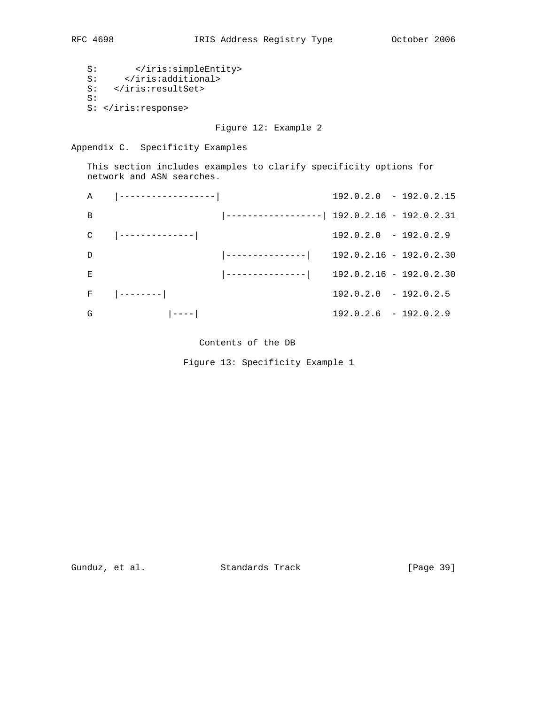S: </iris:simpleEntity> S: </iris:additional> S: </iris:resultSet> S: S: </iris:response>

Figure 12: Example 2

Appendix C. Specificity Examples

 This section includes examples to clarify specificity options for network and ASN searches.

|               |                                                     |                                                     | $192.0.2.0 - 192.0.2.15$ |  |
|---------------|-----------------------------------------------------|-----------------------------------------------------|--------------------------|--|
| B             |                                                     | $\vert$ ------------------  192.0.2.16 - 192.0.2.31 |                          |  |
| C             |                                                     |                                                     | $192.0.2.0 - 192.0.2.9$  |  |
| $\mathcal{D}$ |                                                     | $\vert$ ---------------  192.0.2.16 - 192.0.2.30    |                          |  |
| E             |                                                     | $\vert$ ---------------  192.0.2.16 - 192.0.2.30    |                          |  |
|               | $F = \begin{vmatrix} - - - - - - - - \end{vmatrix}$ |                                                     | $192.0.2.0 - 192.0.2.5$  |  |
| G             | $ - ---- $                                          |                                                     | $192.0.2.6 - 192.0.2.9$  |  |

# Contents of the DB

Figure 13: Specificity Example 1

Gunduz, et al. Standards Track [Page 39]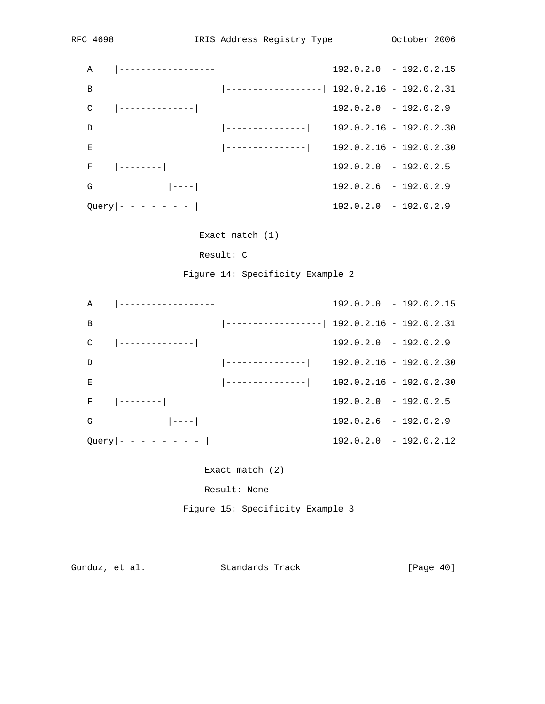|                | $A \qquad  $ ------------------                     |                                                     | $192.0.2.0 - 192.0.2.15$ |
|----------------|-----------------------------------------------------|-----------------------------------------------------|--------------------------|
| $\overline{B}$ |                                                     | $\vert$ ------------------  192.0.2.16 - 192.0.2.31 |                          |
| C              |                                                     |                                                     | $192.0.2.0 - 192.0.2.9$  |
| $\mathcal{D}$  |                                                     | $\vert$ ---------------  192.0.2.16 - 192.0.2.30    |                          |
| E              |                                                     | $\vert$ ---------------  192.0.2.16 - 192.0.2.30    |                          |
|                | $F = \begin{vmatrix} - - - - - - - - \end{vmatrix}$ |                                                     | $192.0.2.0 - 192.0.2.5$  |
| G              | $\left  - - - - \right $                            |                                                     | $192.0.2.6 - 192.0.2.9$  |
|                | $Query - - - - - - -  $                             |                                                     | $192.0.2.0 - 192.0.2.9$  |

Exact match (1)

Result: C

Figure 14: Specificity Example 2

|                | A $ ----------- $                                   |                                                     |                         | $192.0.2.0 - 192.0.2.15$ |
|----------------|-----------------------------------------------------|-----------------------------------------------------|-------------------------|--------------------------|
| $\overline{B}$ |                                                     | $\vert$ ------------------  192.0.2.16 - 192.0.2.31 |                         |                          |
| C              |                                                     |                                                     | $192.0.2.0 - 192.0.2.9$ |                          |
| D              |                                                     | $\vert$ ---------------  192.0.2.16 - 192.0.2.30    |                         |                          |
| Е              |                                                     | $\vert$ ---------------  192.0.2.16 - 192.0.2.30    |                         |                          |
|                | $F = \begin{vmatrix} - - - - - - - - \end{vmatrix}$ |                                                     | $192.0.2.0 - 192.0.2.5$ |                          |
| G              | $\begin{bmatrix} - & - & - & - & \end{bmatrix}$     |                                                     | $192.0.2.6 - 192.0.2.9$ |                          |
|                | $Query - - - - - - - -  $                           |                                                     |                         | $192.0.2.0 - 192.0.2.12$ |

Exact match (2)

Result: None

Figure 15: Specificity Example 3

Gunduz, et al. Standards Track [Page 40]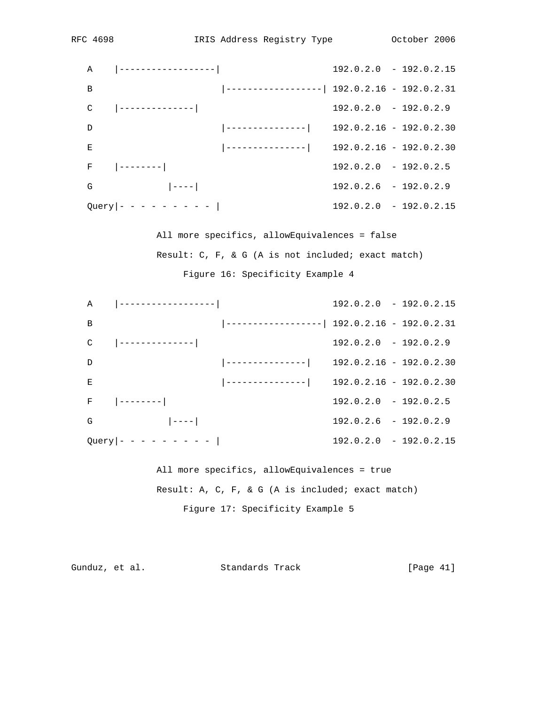|                |                                                     |                                                     | $192.0.2.0 - 192.0.2.15$ |  |
|----------------|-----------------------------------------------------|-----------------------------------------------------|--------------------------|--|
| $\overline{B}$ |                                                     | $\vert$ ------------------  192.0.2.16 - 192.0.2.31 |                          |  |
| C              |                                                     |                                                     | $192.0.2.0 - 192.0.2.9$  |  |
| $\mathcal{D}$  |                                                     | $\vert$ ---------------  192.0.2.16 - 192.0.2.30    |                          |  |
| E              |                                                     | $\vert$ ---------------  192.0.2.16 - 192.0.2.30    |                          |  |
|                | $F = \begin{vmatrix} - - - - - - - - \end{vmatrix}$ |                                                     | $192.0.2.0 - 192.0.2.5$  |  |
| G              | $\begin{bmatrix} -1 & -1 \\ 1 & 1 \end{bmatrix}$    |                                                     | $192.0.2.6 - 192.0.2.9$  |  |
|                | $Query - - - - - - - - -  $                         |                                                     | $192.0.2.0 - 192.0.2.15$ |  |

 All more specifics, allowEquivalences = false Result: C, F, & G (A is not included; exact match) Figure 16: Specificity Example 4

|                    | $A \qquad   \qquad$ -------------------          |                                                     | $192.0.2.0 - 192.0.2.15$ |  |
|--------------------|--------------------------------------------------|-----------------------------------------------------|--------------------------|--|
| B                  |                                                  | $\vert$ ------------------  192.0.2.16 - 192.0.2.31 |                          |  |
|                    |                                                  |                                                     | $192.0.2.0 - 192.0.2.9$  |  |
| $\mathcal{D}$      |                                                  | $\vert$ ---------------  192.0.2.16 - 192.0.2.30    |                          |  |
| E                  |                                                  | $\vert$ ---------------  192.0.2.16 - 192.0.2.30    |                          |  |
| $\mathbf{F}% _{0}$ | $\vert$ --------                                 |                                                     | $192.0.2.0 - 192.0.2.5$  |  |
| G                  | $\begin{bmatrix} -1 & -1 \\ 1 & 1 \end{bmatrix}$ |                                                     | $192.0.2.6 - 192.0.2.9$  |  |
|                    | $Query \vert - - - - - - - - \vert$              |                                                     | $192.0.2.0 - 192.0.2.15$ |  |
|                    |                                                  |                                                     |                          |  |

 All more specifics, allowEquivalences = true Result: A, C, F, & G (A is included; exact match) Figure 17: Specificity Example 5

```
Gunduz, et al. Standards Track [Page 41]
```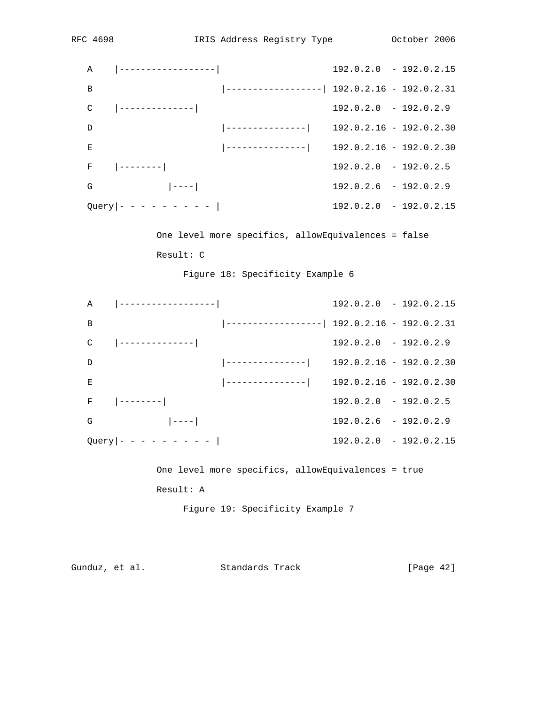|               | A $ ----------- $                                   |                                                     |                         | $192.0.2.0 - 192.0.2.15$ |
|---------------|-----------------------------------------------------|-----------------------------------------------------|-------------------------|--------------------------|
| B             |                                                     | $\vert$ ------------------  192.0.2.16 - 192.0.2.31 |                         |                          |
| C             |                                                     |                                                     | $192.0.2.0 - 192.0.2.9$ |                          |
| $\mathcal{D}$ |                                                     | $\vert$ ---------------  192.0.2.16 - 192.0.2.30    |                         |                          |
| Е             |                                                     | $\vert$ ---------------  192.0.2.16 - 192.0.2.30    |                         |                          |
|               | $F = \begin{vmatrix} - - - - - - - - \end{vmatrix}$ |                                                     | $192.0.2.0 - 192.0.2.5$ |                          |
| G             | $\begin{bmatrix} -1 & -1 \\ 1 & 1 \end{bmatrix}$    |                                                     | $192.0.2.6 - 192.0.2.9$ |                          |
|               | $Query - - - - - - - - -  $                         |                                                     |                         | $192.0.2.0 - 192.0.2.15$ |

 One level more specifics, allowEquivalences = false Result: C

Figure 18: Specificity Example 6

|   |                                     |                                                     | $192.0.2.0 - 192.0.2.15$ |
|---|-------------------------------------|-----------------------------------------------------|--------------------------|
| B |                                     | $\vert$ ------------------  192.0.2.16 - 192.0.2.31 |                          |
| C |                                     |                                                     | $192.0.2.0 - 192.0.2.9$  |
| D |                                     | $\vert$ ---------------  192.0.2.16 - 192.0.2.30    |                          |
| E |                                     |                                                     |                          |
|   | $F$ $\vert$ --------                |                                                     | $192.0.2.0 - 192.0.2.5$  |
| G | $\vert$ ----                        |                                                     | $192.0.2.6 - 192.0.2.9$  |
|   | $Query \vert - - - - - - - - \vert$ |                                                     | $192.0.2.0 - 192.0.2.15$ |

 One level more specifics, allowEquivalences = true Result: A

Figure 19: Specificity Example 7

Gunduz, et al. Standards Track [Page 42]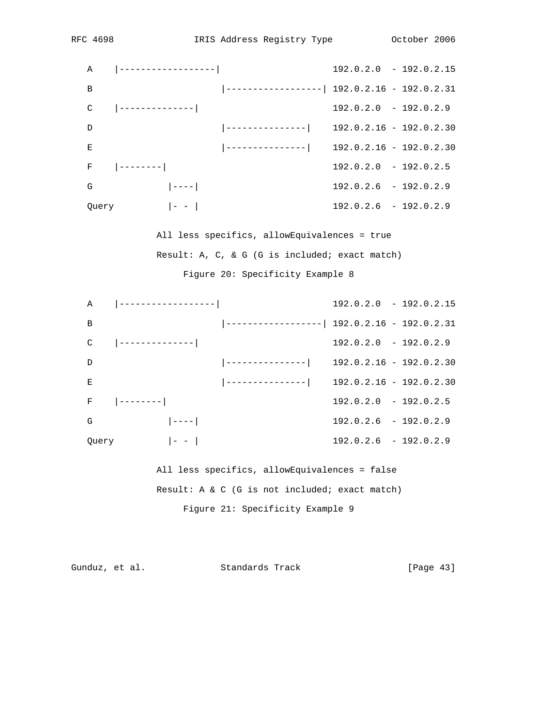|                | $A \qquad  $ ------------------                     |                                                     | $192.0.2.0 - 192.0.2.15$ |
|----------------|-----------------------------------------------------|-----------------------------------------------------|--------------------------|
| $\overline{B}$ |                                                     | $\vert$ ------------------  192.0.2.16 - 192.0.2.31 |                          |
| C              | _   _______________                                 |                                                     | $192.0.2.0 - 192.0.2.9$  |
| $\mathcal{D}$  |                                                     | $\vert$ ---------------  192.0.2.16 - 192.0.2.30    |                          |
| E              |                                                     | $\vert$ ---------------  192.0.2.16 - 192.0.2.30    |                          |
|                | $F = \begin{vmatrix} - - - - - - - - \end{vmatrix}$ |                                                     | $192.0.2.0 - 192.0.2.5$  |
| G              | $ - ---- $                                          |                                                     | $192.0.2.6 - 192.0.2.9$  |
| Query          | $-1$ $-1$                                           |                                                     | $192.0.2.6 - 192.0.2.9$  |

 All less specifics, allowEquivalences = true Result: A, C, & G (G is included; exact match) Figure 20: Specificity Example 8

|               | $A \qquad  $ ------------------                  |                                                     |                         | $192.0.2.0 - 192.0.2.15$ |
|---------------|--------------------------------------------------|-----------------------------------------------------|-------------------------|--------------------------|
| B             |                                                  | $\vert$ ------------------  192.0.2.16 - 192.0.2.31 |                         |                          |
| C             | __ ________________                              |                                                     | $192.0.2.0 - 192.0.2.9$ |                          |
| $\mathcal{D}$ |                                                  | $\vert$ ---------------  192.0.2.16 - 192.0.2.30    |                         |                          |
| Е             |                                                  | $\vert$ ---------------  192.0.2.16 - 192.0.2.30    |                         |                          |
|               | $F$ $ $ --------                                 |                                                     | $192.0.2.0 - 192.0.2.5$ |                          |
| G             | $\begin{bmatrix} -1 & -1 \\ 1 & 1 \end{bmatrix}$ |                                                     | $192.0.2.6 - 192.0.2.9$ |                          |
| Query         | $\vert - \vert - \vert$                          |                                                     | $192.0.2.6 - 192.0.2.9$ |                          |

 All less specifics, allowEquivalences = false Result: A & C (G is not included; exact match) Figure 21: Specificity Example 9

```
Gunduz, et al. Standards Track [Page 43]
```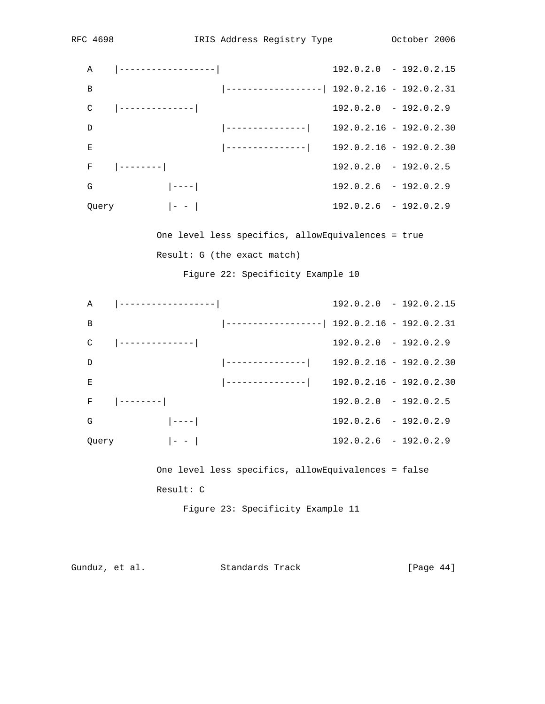|       |                                         |                                                     | $192.0.2.0 - 192.0.2.15$ |
|-------|-----------------------------------------|-----------------------------------------------------|--------------------------|
| B     |                                         | $\vert$ ------------------  192.0.2.16 - 192.0.2.31 |                          |
| C     |                                         |                                                     | $192.0.2.0 - 192.0.2.9$  |
| D     |                                         | $\vert$ ---------------  192.0.2.16 - 192.0.2.30    |                          |
| F.    |                                         | $\vert$ ---------------  192.0.2.16 - 192.0.2.30    |                          |
|       | $F$ $ $ --------                        |                                                     | $192.0.2.0 - 192.0.2.5$  |
| G     | $ ----- $                               |                                                     | $192.0.2.6 - 192.0.2.9$  |
| Query | $\left  -1 \right  = \left  -1 \right $ |                                                     | $192.0.2.6 - 192.0.2.9$  |

 One level less specifics, allowEquivalences = true Result: G (the exact match)

Figure 22: Specificity Example 10

|       |                                                     |                                                     |                         | $192.0.2.0 - 192.0.2.15$ |
|-------|-----------------------------------------------------|-----------------------------------------------------|-------------------------|--------------------------|
| B     |                                                     | $\vert$ ------------------  192.0.2.16 - 192.0.2.31 |                         |                          |
| C     |                                                     |                                                     | $192.0.2.0 - 192.0.2.9$ |                          |
| D     |                                                     | $\vert$ ---------------  192.0.2.16 - 192.0.2.30    |                         |                          |
| E     |                                                     | $\vert$ ---------------  192.0.2.16 - 192.0.2.30    |                         |                          |
|       | $F = \begin{vmatrix} - - - - - - - - \end{vmatrix}$ |                                                     | $192.0.2.0 - 192.0.2.5$ |                          |
| G     | $\vert$ ----                                        |                                                     | $192.0.2.6 - 192.0.2.9$ |                          |
| Query | $\sim$ $\sim$ $\sim$ $\sim$ $\sim$ $\sim$ $\sim$    |                                                     | $192.0.2.6 - 192.0.2.9$ |                          |

 One level less specifics, allowEquivalences = false Result: C

Figure 23: Specificity Example 11

Gunduz, et al. Standards Track [Page 44]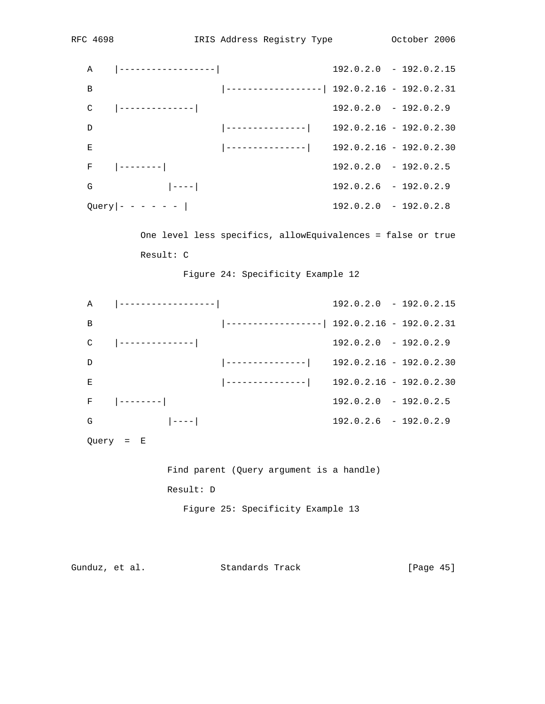|    |                                                                                                    |                                                  | $192.0.2.0 - 192.0.2.15$ |
|----|----------------------------------------------------------------------------------------------------|--------------------------------------------------|--------------------------|
| B  |                                                                                                    | ------------------  192.0.2.16 - 192.0.2.31      |                          |
|    | $C = \begin{vmatrix} - & - & - & - & - & - & - & - \\ 1 & - & - & - & - & - & - & - \end{vmatrix}$ |                                                  | $192.0.2.0 - 192.0.2.9$  |
| D  |                                                                                                    | --------------  192.0.2.16 - 192.0.2.30          |                          |
| E. |                                                                                                    | $\vert$ ---------------  192.0.2.16 - 192.0.2.30 |                          |
|    | $F = \begin{vmatrix} - - - - - - - - \end{vmatrix}$                                                |                                                  | $192.0.2.0 - 192.0.2.5$  |
| G  |                                                                                                    |                                                  | $192.0.2.6 - 192.0.2.9$  |
|    | $Query \vert - - - - - - \vert$                                                                    |                                                  | $192.0.2.0 - 192.0.2.8$  |

 One level less specifics, allowEquivalences = false or true Result: C

Figure 24: Specificity Example 12

|   | A $ ----------- $                                   |                                                     | $192.0.2.0 - 192.0.2.15$ |
|---|-----------------------------------------------------|-----------------------------------------------------|--------------------------|
| B |                                                     | $\vert$ ------------------  192.0.2.16 - 192.0.2.31 |                          |
| C | __ _________________                                |                                                     | $192.0.2.0 - 192.0.2.9$  |
| D |                                                     | $\vert$ ---------------  192.0.2.16 - 192.0.2.30    |                          |
| Е |                                                     | $\vert$ ---------------  192.0.2.16 - 192.0.2.30    |                          |
|   | $F = \begin{vmatrix} - - - - - - - - \end{vmatrix}$ |                                                     | $192.0.2.0 - 192.0.2.5$  |
| G | $  - - - -  $                                       |                                                     | $192.0.2.6 - 192.0.2.9$  |
|   |                                                     |                                                     |                          |

Query = E

 Find parent (Query argument is a handle) Result: D Figure 25: Specificity Example 13

```
Gunduz, et al. Standards Track [Page 45]
```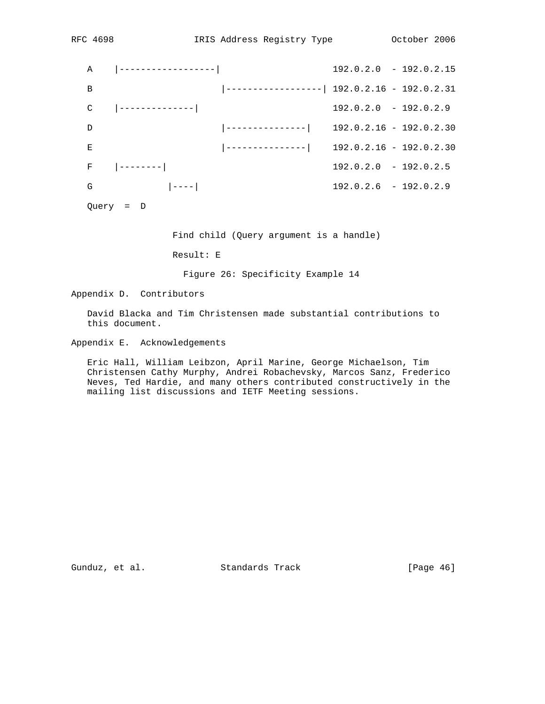| Α |               |                                                     |                         | $192.0.2.0 - 192.0.2.15$ |
|---|---------------|-----------------------------------------------------|-------------------------|--------------------------|
| B |               | $\vert$ ------------------  192.0.2.16 - 192.0.2.31 |                         |                          |
| C |               |                                                     | $192.0.2.0 - 192.0.2.9$ |                          |
| D |               | $\vert$ ---------------  192.0.2.16 - 192.0.2.30    |                         |                          |
| Е |               | $\vert$ ---------------  192.0.2.16 - 192.0.2.30    |                         |                          |
| F |               |                                                     | $192.0.2.0 - 192.0.2.5$ |                          |
| G | $  - - - -  $ |                                                     | $192.0.2.6 - 192.0.2.9$ |                          |
|   |               |                                                     |                         |                          |

Query = D

Find child (Query argument is a handle)

Result: E

Figure 26: Specificity Example 14

Appendix D. Contributors

 David Blacka and Tim Christensen made substantial contributions to this document.

Appendix E. Acknowledgements

 Eric Hall, William Leibzon, April Marine, George Michaelson, Tim Christensen Cathy Murphy, Andrei Robachevsky, Marcos Sanz, Frederico Neves, Ted Hardie, and many others contributed constructively in the mailing list discussions and IETF Meeting sessions.

Gunduz, et al. Standards Track [Page 46]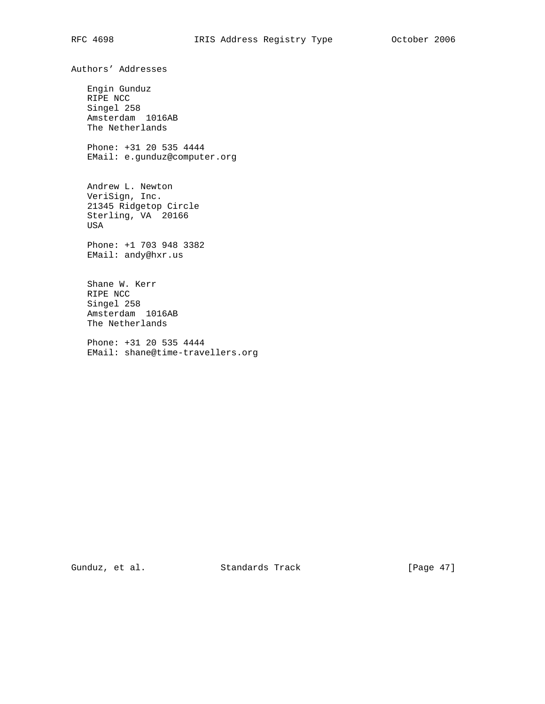Engin Gunduz RIPE NCC Singel 258 Amsterdam 1016AB The Netherlands Phone: +31 20 535 4444

Authors' Addresses

EMail: e.gunduz@computer.org

 Andrew L. Newton VeriSign, Inc. 21345 Ridgetop Circle Sterling, VA 20166 USA

 Phone: +1 703 948 3382 EMail: andy@hxr.us

 Shane W. Kerr RIPE NCC Singel 258 Amsterdam 1016AB The Netherlands

 Phone: +31 20 535 4444 EMail: shane@time-travellers.org

Gunduz, et al. Standards Track [Page 47]